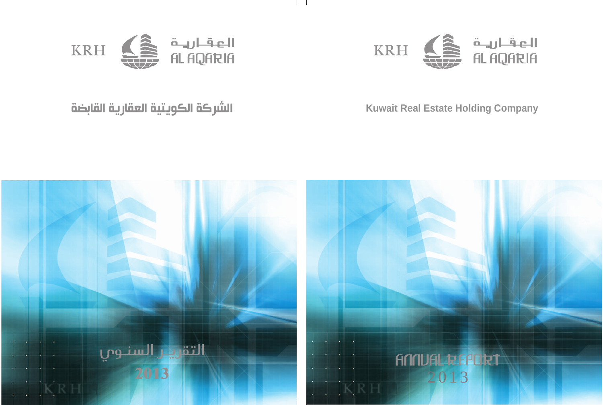

# **Kuwait Real Estate Holding Company**

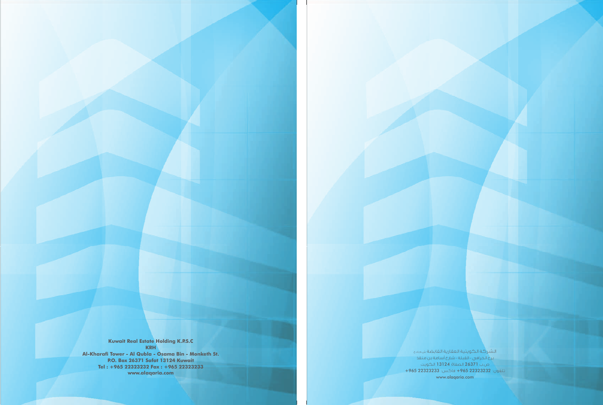**Kuwait Real Estate Holding K.P.S.C KRH Al-Khara fi Tower - Al Qubla - Osama Bin - Monketh St. P.O. Box 26371 Safat 13124 Kuwait Tel : +965 22323232 Fax : +965 22323233 www.alaqaria.com**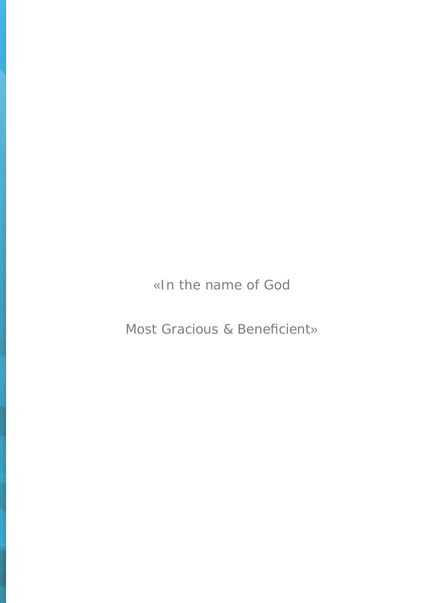«In the name of God

Most Gracious & Beneficient»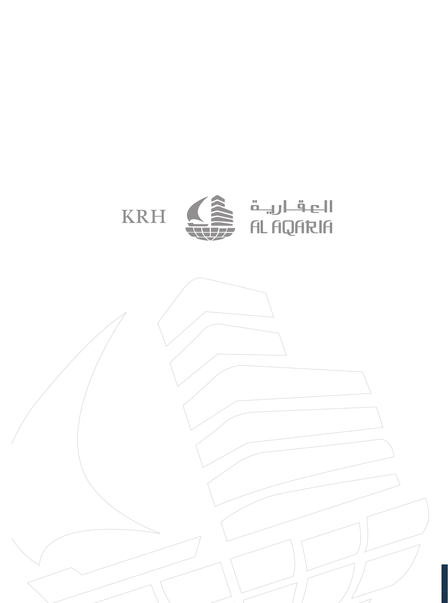

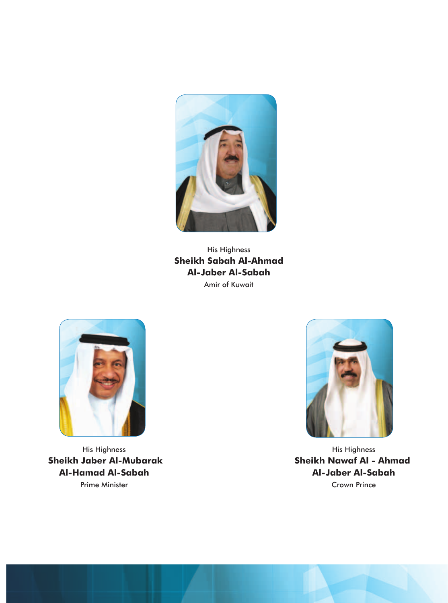

His Highness  **Sheikh Sabah Al-Ahmad Al-Jaber Al-Sabah** Amir of Kuwait



His Highness **Sheikh Jaber Al-Mubarak Al-Hamad Al-Sabah** Prime Minister



His Highness **Sheikh Nawaf Al - Ahmad Al-Jaber Al-Sabah** Crown Prince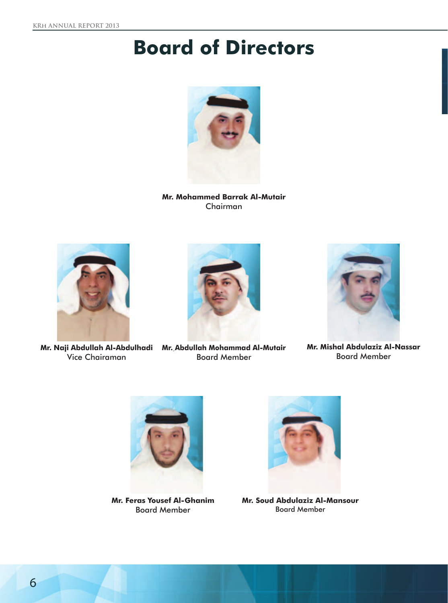# **Board of Directors**



**Mr. Mohammed Barrak Al-Mutair** Chairman



Vice Chairaman



Mr. Naji Abdullah Al-Abdulhadi Mr. Abdullah Mohammad Al-Mutair Board Member



**Mr. Mishal Abdulaziz Al-Nassar** Board Member



**Mr. Feras Yousef Al-Ghanim** Board Member



**Mr. Soud Abdulaziz Al-Mansour** Board Member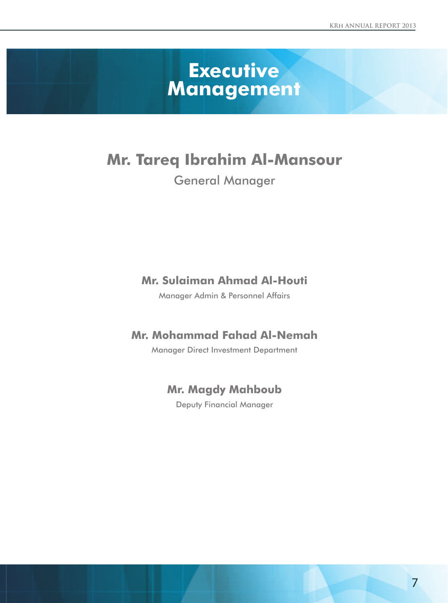# **Executive Management**

## **Mr. Tareq Ibrahim Al-Mansour**

## General Manager

## **Mr. Sulaiman Ahmad Al-Houti**

Manager Admin & Personnel Affairs

## **Mr. Mohammad Fahad Al-Nemah**

Manager Direct Investment Department

## **Mr. Magdy Mahboub**

Deputy Financial Manager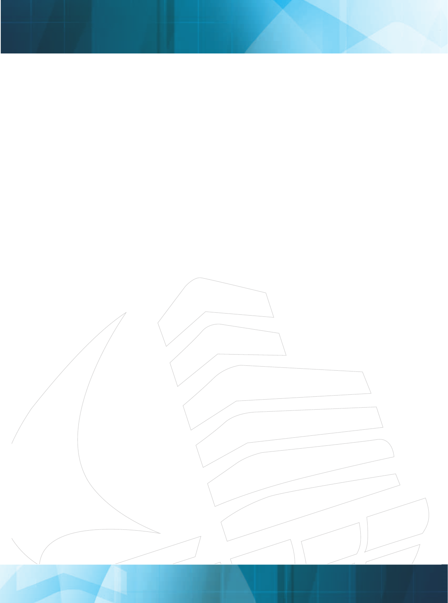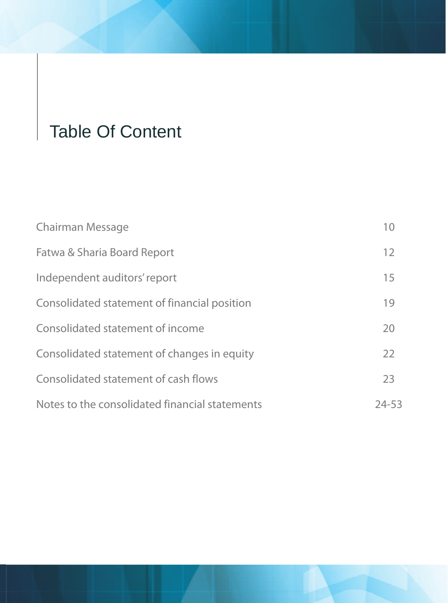# Table Of Content

| <b>Chairman Message</b>                        | 10        |
|------------------------------------------------|-----------|
| Fatwa & Sharia Board Report                    | 12        |
| Independent auditors' report                   | 15        |
| Consolidated statement of financial position   | 19        |
| Consolidated statement of income               | 20        |
| Consolidated statement of changes in equity    | 22        |
| Consolidated statement of cash flows           | 23        |
| Notes to the consolidated financial statements | $24 - 53$ |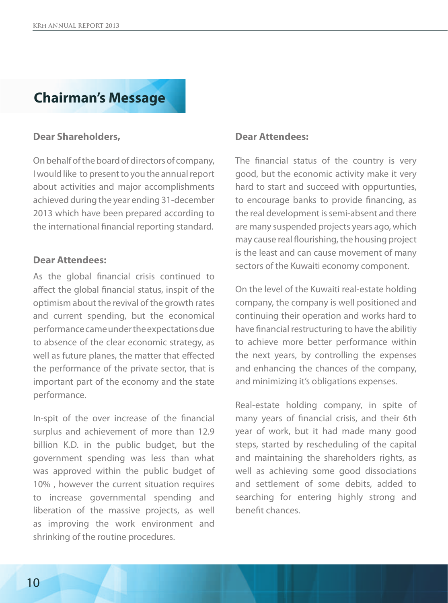## **Chairman's Message**

#### **Dear Shareholders,**

On behalf of the board of directors of company, I would like to present to you the annual report about activities and major accomplishments achieved during the year ending 31-december 2013 which have been prepared according to the international financial reporting standard.

#### **Dear Attendees:**

As the global financial crisis continued to affect the global financial status, inspit of the optimism about the revival of the growth rates and current spending, but the economical performance came under the expectations due to absence of the clear economic strategy, as well as future planes, the matter that effected the performance of the private sector, that is important part of the economy and the state performance.

In-spit of the over increase of the financial surplus and achievement of more than 12.9 billion K.D. in the public budget, but the government spending was less than what was approved within the public budget of 10% , however the current situation requires to increase governmental spending and liberation of the massive projects, as well as improving the work environment and shrinking of the routine procedures.

## **Dear Attendees:**

The financial status of the country is very good, but the economic activity make it very hard to start and succeed with oppurtunties, to encourage banks to provide financing, as the real development is semi-absent and there are many suspended projects years ago, which may cause real flourishing, the housing project is the least and can cause movement of many sectors of the Kuwaiti economy component.

On the level of the Kuwaiti real-estate holding company, the company is well positioned and continuing their operation and works hard to have financial restructuring to have the abilitiy to achieve more better performance within the next years, by controlling the expenses and enhancing the chances of the company, and minimizing it's obligations expenses.

Real-estate holding company, in spite of many years of financial crisis, and their 6th year of work, but it had made many good steps, started by rescheduling of the capital and maintaining the shareholders rights, as well as achieving some good dissociations and settlement of some debits, added to searching for entering highly strong and benefit chances.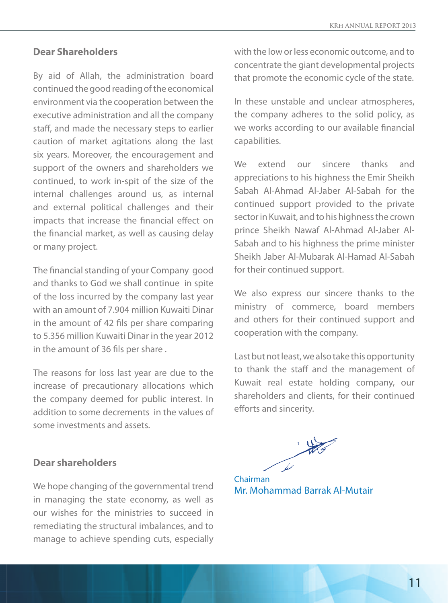## **Dear Shareholders**

By aid of Allah, the administration board continued the good reading of the economical environment via the cooperation between the executive administration and all the company staff, and made the necessary steps to earlier caution of market agitations along the last six years. Moreover, the encouragement and support of the owners and shareholders we continued, to work in-spit of the size of the internal challenges around us, as internal and external political challenges and their impacts that increase the financial effect on the financial market, as well as causing delay or many project.

The financial standing of your Company good and thanks to God we shall continue in spite of the loss incurred by the company last year with an amount of 7.904 million Kuwaiti Dinar in the amount of 42 fils per share comparing to 5.356 million Kuwaiti Dinar in the year 2012 in the amount of 36 fils per share .

The reasons for loss last year are due to the increase of precautionary allocations which the company deemed for public interest. In addition to some decrements in the values of some investments and assets.

with the low or less economic outcome, and to concentrate the giant developmental projects that promote the economic cycle of the state.

In these unstable and unclear atmospheres, the company adheres to the solid policy, as we works according to our available financial capabilities.

We extend our sincere thanks and appreciations to his highness the Emir Sheikh Sabah Al-Ahmad Al-Jaber Al-Sabah for the continued support provided to the private sector in Kuwait, and to his highness the crown prince Sheikh Nawaf Al-Ahmad Al-Jaber Al-Sabah and to his highness the prime minister Sheikh Jaber Al-Mubarak Al-Hamad Al-Sabah for their continued support.

We also express our sincere thanks to the ministry of commerce, board members and others for their continued support and cooperation with the company.

 Last but not least, we also take this opportunity to thank the staff and the management of Kuwait real estate holding company, our shareholders and clients, for their continued efforts and sincerity.

#### **Dear shareholders**

We hope changing of the governmental trend in managing the state economy, as well as our wishes for the ministries to succeed in remediating the structural imbalances, and to manage to achieve spending cuts, especially



Chairman Mr. Mohammad Barrak Al-Mutair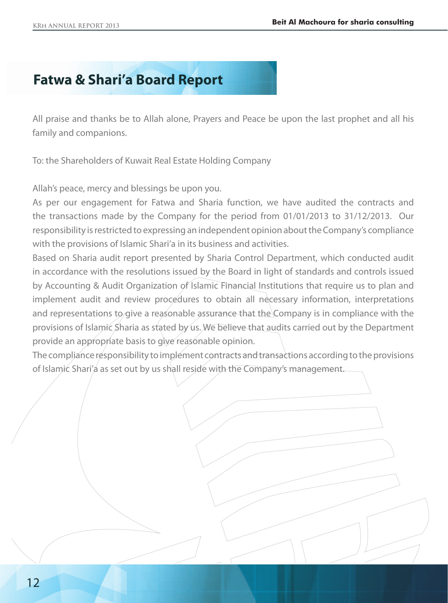## **Fatwa & Shari'a Board Report**

All praise and thanks be to Allah alone, Prayers and Peace be upon the last prophet and all his family and companions.

To: the Shareholders of Kuwait Real Estate Holding Company

Allah's peace, mercy and blessings be upon you.

As per our engagement for Fatwa and Sharia function, we have audited the contracts and the transactions made by the Company for the period from 01/01/2013 to 31/12/2013. Our responsibility is restricted to expressing an independent opinion about the Company's compliance with the provisions of Islamic Shari'a in its business and activities.

Based on Sharia audit report presented by Sharia Control Department, which conducted audit in accordance with the resolutions issued by the Board in light of standards and controls issued by Accounting & Audit Organization of Islamic Financial Institutions that require us to plan and implement audit and review procedures to obtain all necessary information, interpretations and representations to give a reasonable assurance that the Company is in compliance with the provisions of Islamic Sharia as stated by us. We believe that audits carried out by the Department provide an appropriate basis to give reasonable opinion.

The compliance responsibility to implement contracts and transactions according to the provisions of Islamic Shari'a as set out by us shall reside with the Company's management.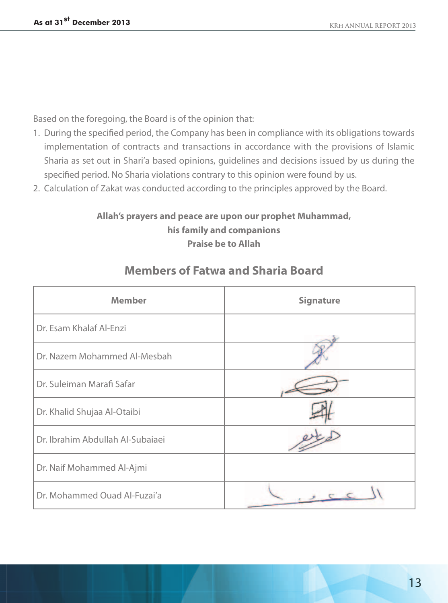Based on the foregoing, the Board is of the opinion that:

- 1. During the specified period, the Company has been in compliance with its obligations towards implementation of contracts and transactions in accordance with the provisions of Islamic Sharia as set out in Shari'a based opinions, guidelines and decisions issued by us during the specified period. No Sharia violations contrary to this opinion were found by us.
- 2. Calculation of Zakat was conducted according to the principles approved by the Board.

## **Allah's prayers and peace are upon our prophet Muhammad, his family and companions Praise be to Allah**

| <b>Member</b>                    | <b>Signature</b> |
|----------------------------------|------------------|
| Dr. Esam Khalaf Al-Enzi          |                  |
| Dr. Nazem Mohammed Al-Mesbah     |                  |
| Dr. Suleiman Marafi Safar        |                  |
| Dr. Khalid Shujaa Al-Otaibi      |                  |
| Dr. Ibrahim Abdullah Al-Subaiaei |                  |
| Dr. Naif Mohammed Al-Ajmi        |                  |
| Dr. Mohammed Ouad Al-Fuzai'a     |                  |

## **Members of Fatwa and Sharia Board**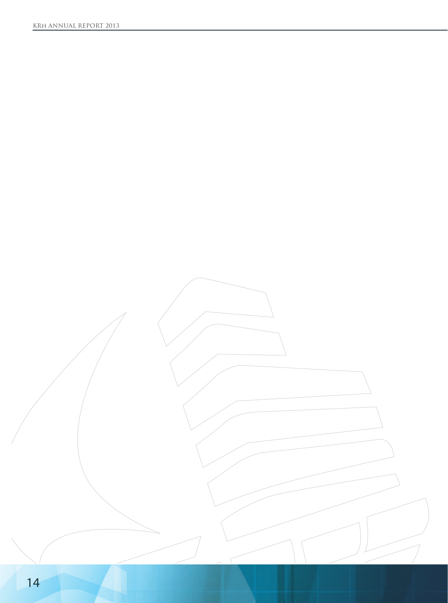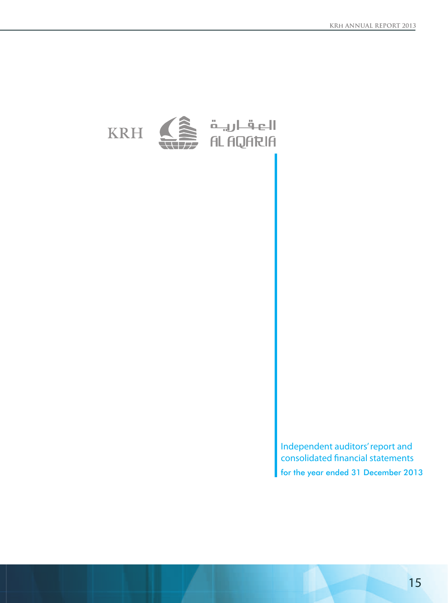

Independent auditors' report and consolidated financial statements for the year ended 31 December 2013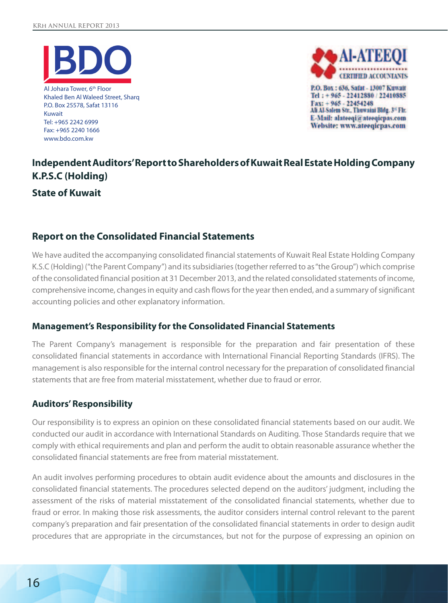

Al Johara Tower, 6<sup>th</sup> Floor Khaled Ben Al Waleed Street, Sharq P.O. Box 25578, Safat 13116 Kuwait Tel: +965 2242 6999 Fax: +965 2240 1666 www.bdo.com.kw



## **Independent Auditors' Report to Shareholders of Kuwait Real Estate Holding Company K.P.S.C (Holding)**

**State of Kuwait**

#### **Report on the Consolidated Financial Statements**

We have audited the accompanying consolidated financial statements of Kuwait Real Estate Holding Company K.S.C (Holding) ("the Parent Company") and its subsidiaries (together referred to as "the Group") which comprise of the consolidated financial position at 31 December 2013, and the related consolidated statements of income, comprehensive income, changes in equity and cash flows for the year then ended, and a summary of significant accounting policies and other explanatory information.

#### **Management's Responsibility for the Consolidated Financial Statements**

The Parent Company's management is responsible for the preparation and fair presentation of these consolidated financial statements in accordance with International Financial Reporting Standards (IFRS). The management is also responsible for the internal control necessary for the preparation of consolidated financial statements that are free from material misstatement, whether due to fraud or error.

#### **Auditors' Responsibility**

Our responsibility is to express an opinion on these consolidated financial statements based on our audit. We conducted our audit in accordance with International Standards on Auditing. Those Standards require that we comply with ethical requirements and plan and perform the audit to obtain reasonable assurance whether the consolidated financial statements are free from material misstatement.

An audit involves performing procedures to obtain audit evidence about the amounts and disclosures in the consolidated financial statements. The procedures selected depend on the auditors' judgment, including the assessment of the risks of material misstatement of the consolidated financial statements, whether due to fraud or error. In making those risk assessments, the auditor considers internal control relevant to the parent company's preparation and fair presentation of the consolidated financial statements in order to design audit procedures that are appropriate in the circumstances, but not for the purpose of expressing an opinion on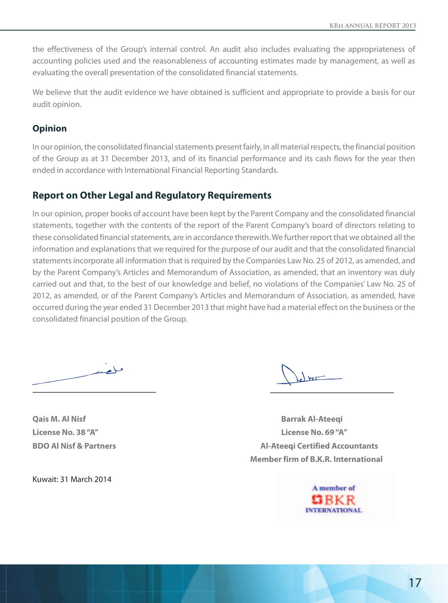the effectiveness of the Group's internal control. An audit also includes evaluating the appropriateness of accounting policies used and the reasonableness of accounting estimates made by management, as well as evaluating the overall presentation of the consolidated financial statements.

We believe that the audit evidence we have obtained is sufficient and appropriate to provide a basis for our audit opinion.

#### **Opinion**

In our opinion, the consolidated financial statements present fairly, in all material respects, the financial position of the Group as at 31 December 2013, and of its financial performance and its cash flows for the year then ended in accordance with International Financial Reporting Standards.

#### **Report on Other Legal and Regulatory Requirements**

In our opinion, proper books of account have been kept by the Parent Company and the consolidated financial statements, together with the contents of the report of the Parent Company's board of directors relating to these consolidated financial statements, are in accordance therewith. We further report that we obtained all the information and explanations that we required for the purpose of our audit and that the consolidated financial statements incorporate all information that is required by the Companies Law No. 25 of 2012, as amended, and by the Parent Company's Articles and Memorandum of Association, as amended, that an inventory was duly carried out and that, to the best of our knowledge and belief, no violations of the Companies' Law No. 25 of 2012, as amended, or of the Parent Company's Articles and Memorandum of Association, as amended, have occurred during the year ended 31 December 2013 that might have had a material effect on the business or the consolidated financial position of the Group.

**Qais M. Al Nisf Barrak Al-Ateeqi**

Kuwait: 31 March 2014

**License No. 38 "A" License No. 69 "A" BDO Al Nisf & Partners Al-Ateeqi Certified Accountants Member firm of B.K.R. International**

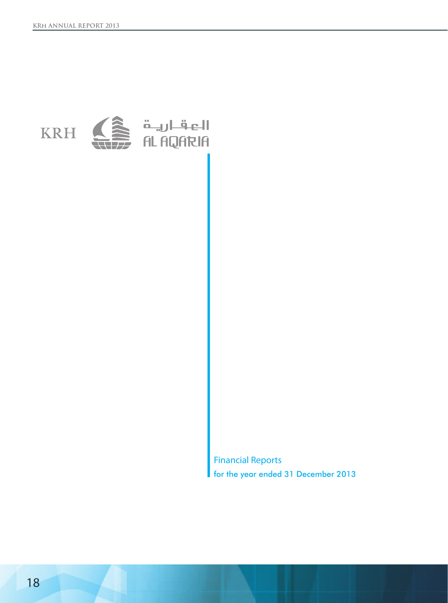

Financial Reports for the year ended 31 December 2013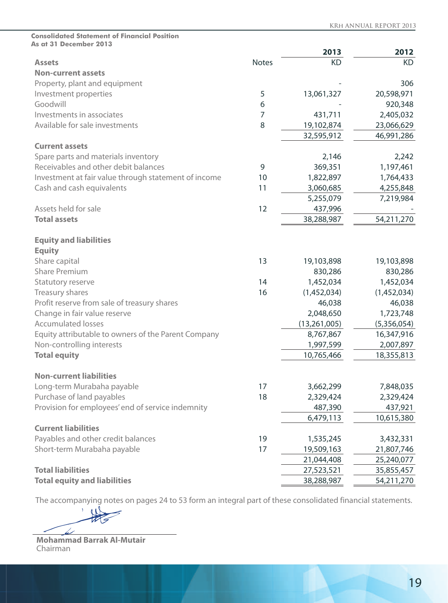| As at 31 December 2013                               |              | 2013         | 2012        |
|------------------------------------------------------|--------------|--------------|-------------|
| <b>Assets</b>                                        | <b>Notes</b> | <b>KD</b>    | <b>KD</b>   |
| <b>Non-current assets</b>                            |              |              |             |
| Property, plant and equipment                        |              |              | 306         |
| Investment properties                                | 5            | 13,061,327   | 20,598,971  |
| Goodwill                                             | 6            |              | 920,348     |
| Investments in associates                            | 7            | 431,711      | 2,405,032   |
| Available for sale investments                       | 8            | 19,102,874   | 23,066,629  |
|                                                      |              | 32,595,912   | 46,991,286  |
| <b>Current assets</b>                                |              |              |             |
| Spare parts and materials inventory                  |              | 2,146        | 2,242       |
| Receivables and other debit balances                 | 9            | 369,351      | 1,197,461   |
| Investment at fair value through statement of income | 10           | 1,822,897    | 1,764,433   |
| Cash and cash equivalents                            | 11           | 3,060,685    | 4,255,848   |
|                                                      |              | 5,255,079    | 7,219,984   |
| Assets held for sale                                 | 12           | 437,996      |             |
| <b>Total assets</b>                                  |              | 38,288,987   | 54,211,270  |
|                                                      |              |              |             |
| <b>Equity and liabilities</b>                        |              |              |             |
| <b>Equity</b>                                        |              |              |             |
| Share capital                                        | 13           | 19,103,898   | 19,103,898  |
| <b>Share Premium</b>                                 |              | 830,286      | 830,286     |
| Statutory reserve                                    | 14           | 1,452,034    | 1,452,034   |
| Treasury shares                                      | 16           | (1,452,034)  | (1,452,034) |
| Profit reserve from sale of treasury shares          |              | 46,038       | 46,038      |
| Change in fair value reserve                         |              | 2,048,650    | 1,723,748   |
| <b>Accumulated losses</b>                            |              | (13,261,005) | (5,356,054) |
| Equity attributable to owners of the Parent Company  |              | 8,767,867    | 16,347,916  |
| Non-controlling interests                            |              | 1,997,599    | 2,007,897   |
| <b>Total equity</b>                                  |              | 10,765,466   | 18,355,813  |
|                                                      |              |              |             |
| <b>Non-current liabilities</b>                       |              |              |             |
| Long-term Murabaha payable                           | 17           | 3,662,299    | 7,848,035   |
| Purchase of land payables                            | 18           | 2,329,424    | 2,329,424   |
| Provision for employees' end of service indemnity    |              | 487,390      | 437,921     |
|                                                      |              | 6,479,113    | 10,615,380  |
| <b>Current liabilities</b>                           |              |              |             |
| Payables and other credit balances                   | 19           | 1,535,245    | 3,432,331   |
| Short-term Murabaha payable                          | 17           | 19,509,163   | 21,807,746  |
|                                                      |              | 21,044,408   | 25,240,077  |
| <b>Total liabilities</b>                             |              | 27,523,521   | 35,855,457  |
| <b>Total equity and liabilities</b>                  |              | 38,288,987   | 54,211,270  |

The accompanying notes on pages 24 to 53 form an integral part of these consolidated financial statements.

**Mohammad Barrak Al-Mutair** Chairman

**Consolidated Statement of Financial Position**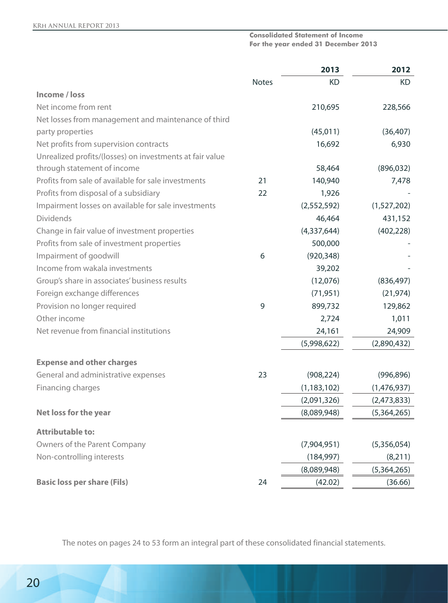#### **Consolidated Statement of Income For the year ended 31 December 2013**

|                                                          |              | 2013          | 2012        |
|----------------------------------------------------------|--------------|---------------|-------------|
|                                                          | <b>Notes</b> | <b>KD</b>     | <b>KD</b>   |
| Income / loss                                            |              |               |             |
| Net income from rent                                     |              | 210,695       | 228,566     |
| Net losses from management and maintenance of third      |              |               |             |
| party properties                                         |              | (45, 011)     | (36, 407)   |
| Net profits from supervision contracts                   |              | 16,692        | 6,930       |
| Unrealized profits/(losses) on investments at fair value |              |               |             |
| through statement of income                              |              | 58,464        | (896, 032)  |
| Profits from sale of available for sale investments      | 21           | 140,940       | 7,478       |
| Profits from disposal of a subsidiary                    | 22           | 1,926         |             |
| Impairment losses on available for sale investments      |              | (2,552,592)   | (1,527,202) |
| <b>Dividends</b>                                         |              | 46,464        | 431,152     |
| Change in fair value of investment properties            |              | (4,337,644)   | (402, 228)  |
| Profits from sale of investment properties               |              | 500,000       |             |
| Impairment of goodwill                                   | 6            | (920, 348)    |             |
| Income from wakala investments                           |              | 39,202        |             |
| Group's share in associates' business results            |              | (12,076)      | (836, 497)  |
| Foreign exchange differences                             |              | (71, 951)     | (21, 974)   |
| Provision no longer required                             | 9            | 899,732       | 129,862     |
| Other income                                             |              | 2,724         | 1,011       |
| Net revenue from financial institutions                  |              | 24,161        | 24,909      |
|                                                          |              | (5,998,622)   | (2,890,432) |
| <b>Expense and other charges</b>                         |              |               |             |
| General and administrative expenses                      | 23           | (908, 224)    | (996, 896)  |
| Financing charges                                        |              | (1, 183, 102) | (1,476,937) |
|                                                          |              | (2,091,326)   | (2,473,833) |
| <b>Net loss for the year</b>                             |              | (8,089,948)   | (5,364,265) |
| <b>Attributable to:</b>                                  |              |               |             |
| Owners of the Parent Company                             |              | (7,904,951)   | (5,356,054) |
| Non-controlling interests                                |              | (184, 997)    | (8, 211)    |
|                                                          |              | (8,089,948)   | (5,364,265) |
| <b>Basic loss per share (Fils)</b>                       | 24           | (42.02)       | (36.66)     |
|                                                          |              |               |             |

The notes on pages 24 to 53 form an integral part of these consolidated financial statements.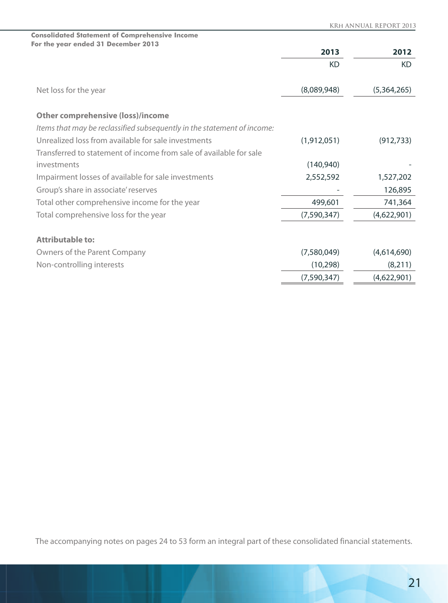#### **Consolidated Statement of Comprehensive Income For the year ended 31 December 2013**

|                                                                         | 2013        | 2012        |
|-------------------------------------------------------------------------|-------------|-------------|
|                                                                         | <b>KD</b>   | <b>KD</b>   |
| Net loss for the year                                                   | (8,089,948) | (5,364,265) |
| <b>Other comprehensive (loss)/income</b>                                |             |             |
| Items that may be reclassified subsequently in the statement of income: |             |             |
| Unrealized loss from available for sale investments                     | (1,912,051) | (912, 733)  |
| Transferred to statement of income from sale of available for sale      |             |             |
| investments                                                             | (140, 940)  |             |
| Impairment losses of available for sale investments                     | 2,552,592   | 1,527,202   |
| Group's share in associate' reserves                                    |             | 126,895     |
| Total other comprehensive income for the year                           | 499,601     | 741,364     |
| Total comprehensive loss for the year                                   | (7,590,347) | (4,622,901) |
| <b>Attributable to:</b>                                                 |             |             |
| Owners of the Parent Company                                            | (7,580,049) | (4,614,690) |
| Non-controlling interests                                               | (10, 298)   | (8,211)     |
|                                                                         | (7,590,347) | (4,622,901) |

The accompanying notes on pages 24 to 53 form an integral part of these consolidated financial statements.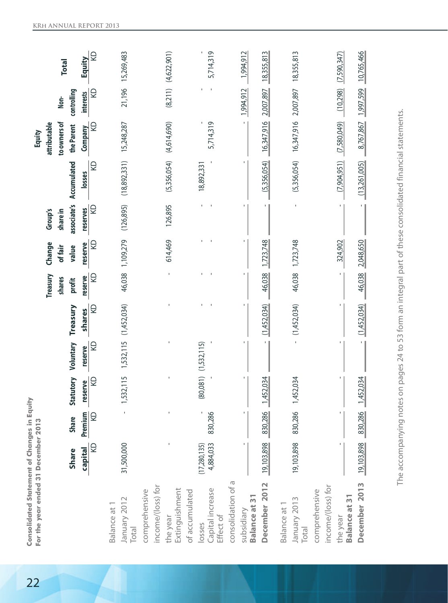| Consolidated Statement of Changes in Equity<br>For the year ended 31 December 2013 |                              |              |              |              |             |                    |                   |                     |              | Equity                                 |                       |                |
|------------------------------------------------------------------------------------|------------------------------|--------------|--------------|--------------|-------------|--------------------|-------------------|---------------------|--------------|----------------------------------------|-----------------------|----------------|
|                                                                                    |                              |              |              |              |             | Treasury<br>shares | Change<br>of fair | Group's<br>share in |              | to owners of<br>attributable           | Non-                  | <b>Total</b>   |
|                                                                                    | <b>Share</b>                 | <b>Share</b> | Statutory    | Voluntary    | Treasury    | profit             | value             | associate's         | Accumulated  | the Parent                             | controlling           |                |
|                                                                                    | Q<br>Capital                 | Premium<br>Q | reserve<br>Š | Q<br>reserve | Q<br>shares | Q<br>reserve       | Q<br>reserve      | Q<br>reserves       | КD<br>losses | Q<br>Company                           | Q<br><b>interests</b> | Q<br>Equity    |
| January 2012<br>Balance at 1<br>Total                                              | 31,500,000                   |              | 1,532,115    | 1,532,115    | (1,452,034) | 46,038             | 1,109,279         | (126, 895)          | (18,892,331) | 15,248,287                             | 21,196                | 15,269,483     |
| income/(loss) for<br>Extinguishment<br>of accumulated<br>comprehensive<br>the year |                              |              |              |              |             |                    | 614,469           | 126,895             | (5,356,054)  | (4,614,690)                            | (8,211)               | (4,622,901)    |
| Capital increase<br>Effect of<br>losses                                            | 4,884,033<br>(17,280,135)    | 830,286      | (80,081)     | (1,532,115)  |             |                    |                   |                     | 18,892,331   | 5,714,319                              |                       | 5,714,319<br>ı |
| consolidation of a<br>subsidiary                                                   | $\mathbf I$                  | $\mathbf{r}$ |              | ٠            | ı           | ٠                  | ٠                 | T.                  | T.           | $\Gamma$                               | 1,994,912             | 1,994,912      |
| December 2012<br><b>Balance at 31</b>                                              | 19,103,898                   | 830,286      | 1,452,034    |              | (1,452,034) | 46,038             | ,723,748          |                     | (5,356,054)  | 16,347,916                             | 2,007,897             | 18,355,813     |
| comprehensive<br>January 2013<br>Balance at 1<br>Total                             | 19,103,898 830,286 1,452,034 |              |              |              | (1,452,034) |                    | 46,038 1,723,748  | $\mathbf{I}$        |              | $(5,356,054)$ $16,347,916$ $2,007,897$ |                       | 18,355,813     |
| income/(loss) for<br><b>Balance at 31</b><br>the year                              |                              | ï            |              | J.           |             | $\mathbf I$        | 324,902           | $\mathbf I$         | (7,904,951)  | (7,580,049)                            | (10, 298)             | (7,590,347)    |
| December 2013                                                                      | 19,103,898 830,286 1,452,034 |              |              |              | (1,452,034) | 46,038             | 2,048,650         |                     | (13,261,005) | 8,767,867                              | 1,997,599             | 10,765,466     |

The accompanying notes on pages 24 to 53 form an integral part of these consolidated financial statements. The accompanying notes on pages 24 to 53 form an integral part of these consolidated financial statements.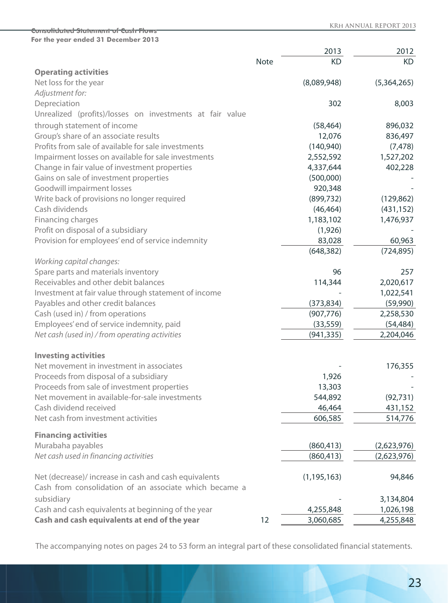#### **Consolidated Statement of Cash Flows For the year ended 31 December 2013**

|                                                          |             | 2013          | 2012        |
|----------------------------------------------------------|-------------|---------------|-------------|
|                                                          | <b>Note</b> | <b>KD</b>     | <b>KD</b>   |
| <b>Operating activities</b>                              |             |               |             |
| Net loss for the year                                    |             | (8,089,948)   | (5,364,265) |
| Adjustment for:                                          |             |               |             |
| Depreciation                                             |             | 302           | 8,003       |
| Unrealized (profits)/losses on investments at fair value |             |               |             |
| through statement of income                              |             | (58, 464)     | 896,032     |
| Group's share of an associate results                    |             | 12,076        | 836,497     |
| Profits from sale of available for sale investments      |             | (140, 940)    | (7, 478)    |
| Impairment losses on available for sale investments      |             | 2,552,592     | 1,527,202   |
| Change in fair value of investment properties            |             | 4,337,644     | 402,228     |
| Gains on sale of investment properties                   |             | (500,000)     |             |
| <b>Goodwill impairment losses</b>                        |             | 920,348       |             |
| Write back of provisions no longer required              |             | (899, 732)    | (129, 862)  |
| Cash dividends                                           |             | (46, 464)     | (431, 152)  |
| Financing charges                                        |             | 1,183,102     | 1,476,937   |
| Profit on disposal of a subsidiary                       |             | (1,926)       |             |
| Provision for employees' end of service indemnity        |             | 83,028        | 60,963      |
|                                                          |             | (648, 382)    | (724, 895)  |
| Working capital changes:                                 |             |               |             |
| Spare parts and materials inventory                      |             | 96            | 257         |
| Receivables and other debit balances                     |             | 114,344       | 2,020,617   |
| Investment at fair value through statement of income     |             |               | 1,022,541   |
| Payables and other credit balances                       |             | (373, 834)    | (59,990)    |
| Cash (used in) / from operations                         |             | (907, 776)    | 2,258,530   |
| Employees' end of service indemnity, paid                |             | (33, 559)     | (54, 484)   |
| Net cash (used in) / from operating activities           |             | (941, 335)    | 2,204,046   |
|                                                          |             |               |             |
| <b>Investing activities</b>                              |             |               |             |
| Net movement in investment in associates                 |             |               | 176,355     |
| Proceeds from disposal of a subsidiary                   |             | 1,926         |             |
| Proceeds from sale of investment properties              |             | 13,303        |             |
| Net movement in available-for-sale investments           |             | 544,892       | (92, 731)   |
| Cash dividend received                                   |             | 46,464        | 431,152     |
| Net cash from investment activities                      |             | 606,585       | 514,776     |
|                                                          |             |               |             |
| <b>Financing activities</b>                              |             |               |             |
| Murabaha payables                                        |             | (860, 413)    | (2,623,976) |
| Net cash used in financing activities                    |             | (860, 413)    | (2,623,976) |
| Net (decrease)/ increase in cash and cash equivalents    |             | (1, 195, 163) | 94,846      |
| Cash from consolidation of an associate which became a   |             |               |             |
| subsidiary                                               |             |               | 3,134,804   |
| Cash and cash equivalents at beginning of the year       |             | 4,255,848     | 1,026,198   |
| Cash and cash equivalents at end of the year             | 12          | 3,060,685     | 4,255,848   |
|                                                          |             |               |             |

The accompanying notes on pages 24 to 53 form an integral part of these consolidated financial statements.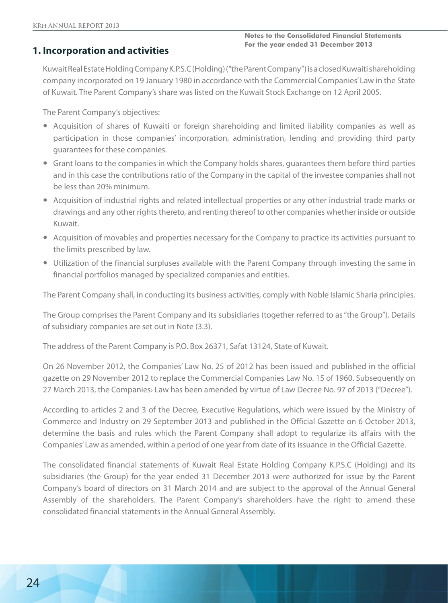## **1. Incorporation and activities**

Kuwait Real Estate Holding Company K.P.S.C (Holding) ("the Parent Company") is a closed Kuwaiti shareholding company incorporated on 19 January 1980 in accordance with the Commercial Companies' Law in the State of Kuwait. The Parent Company's share was listed on the Kuwait Stock Exchange on 12 April 2005.

The Parent Company's objectives:

- Acquisition of shares of Kuwaiti or foreign shareholding and limited liability companies as well as participation in those companies' incorporation, administration, lending and providing third party guarantees for these companies.
- Grant loans to the companies in which the Company holds shares, guarantees them before third parties and in this case the contributions ratio of the Company in the capital of the investee companies shall not be less than 20% minimum.
- Acquisition of industrial rights and related intellectual properties or any other industrial trade marks or drawings and any other rights thereto, and renting thereof to other companies whether inside or outside Kuwait.
- Acquisition of movables and properties necessary for the Company to practice its activities pursuant to the limits prescribed by law.
- Utilization of the financial surpluses available with the Parent Company through investing the same in financial portfolios managed by specialized companies and entities.

The Parent Company shall, in conducting its business activities, comply with Noble Islamic Sharia principles.

The Group comprises the Parent Company and its subsidiaries (together referred to as "the Group"). Details of subsidiary companies are set out in Note (3.3).

The address of the Parent Company is P.O. Box 26371, Safat 13124, State of Kuwait.

On 26 November 2012, the Companies' Law No. 25 of 2012 has been issued and published in the official gazette on 29 November 2012 to replace the Commercial Companies Law No. 15 of 1960. Subsequently on 27 March 2013, the Companies› Law has been amended by virtue of Law Decree No. 97 of 2013 ("Decree").

According to articles 2 and 3 of the Decree, Executive Regulations, which were issued by the Ministry of Commerce and Industry on 29 September 2013 and published in the Official Gazette on 6 October 2013, determine the basis and rules which the Parent Company shall adopt to regularize its affairs with the Companies' Law as amended, within a period of one year from date of its issuance in the Official Gazette.

The consolidated financial statements of Kuwait Real Estate Holding Company K.P.S.C (Holding) and its subsidiaries (the Group) for the year ended 31 December 2013 were authorized for issue by the Parent Company's board of directors on 31 March 2014 and are subject to the approval of the Annual General Assembly of the shareholders. The Parent Company's shareholders have the right to amend these consolidated financial statements in the Annual General Assembly.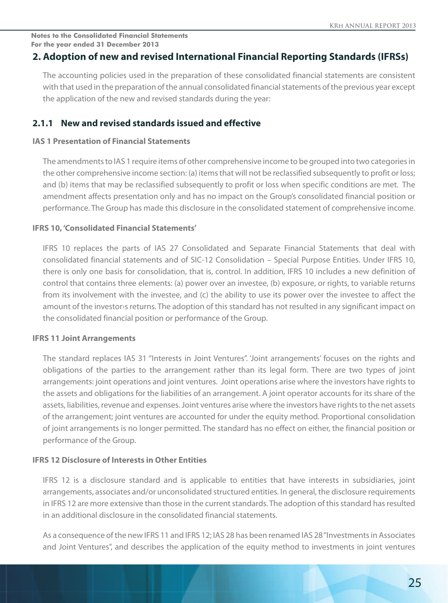## **2. Adoption of new and revised International Financial Reporting Standards (IFRSs)**

The accounting policies used in the preparation of these consolidated financial statements are consistent with that used in the preparation of the annual consolidated financial statements of the previous year except the application of the new and revised standards during the year:

#### **2.1.1 New and revised standards issued and effective**

#### **IAS 1 Presentation of Financial Statements**

The amendments to IAS 1 require items of other comprehensive income to be grouped into two categories in the other comprehensive income section: (a) items that will not be reclassified subsequently to profit or loss; and (b) items that may be reclassified subsequently to profit or loss when specific conditions are met. The amendment affects presentation only and has no impact on the Group's consolidated financial position or performance. The Group has made this disclosure in the consolidated statement of comprehensive income.

#### **IFRS 10, 'Consolidated Financial Statements'**

IFRS 10 replaces the parts of IAS 27 Consolidated and Separate Financial Statements that deal with consolidated financial statements and of SIC-12 Consolidation – Special Purpose Entities. Under IFRS 10, there is only one basis for consolidation, that is, control. In addition, IFRS 10 includes a new definition of control that contains three elements: (a) power over an investee, (b) exposure, or rights, to variable returns from its involvement with the investee, and (c) the ability to use its power over the investee to affect the amount of the investor is returns. The adoption of this standard has not resulted in any significant impact on the consolidated financial position or performance of the Group.

#### **IFRS 11 Joint Arrangements**

The standard replaces IAS 31 "Interests in Joint Ventures". 'Joint arrangements' focuses on the rights and obligations of the parties to the arrangement rather than its legal form. There are two types of joint arrangements: joint operations and joint ventures. Joint operations arise where the investors have rights to the assets and obligations for the liabilities of an arrangement. A joint operator accounts for its share of the assets, liabilities, revenue and expenses. Joint ventures arise where the investors have rights to the net assets of the arrangement; joint ventures are accounted for under the equity method. Proportional consolidation of joint arrangements is no longer permitted. The standard has no effect on either, the financial position or performance of the Group.

#### **IFRS 12 Disclosure of Interests in Other Entities**

IFRS 12 is a disclosure standard and is applicable to entities that have interests in subsidiaries, joint arrangements, associates and/or unconsolidated structured entities. In general, the disclosure requirements in IFRS 12 are more extensive than those in the current standards. The adoption of this standard has resulted in an additional disclosure in the consolidated financial statements.

As a consequence of the new IFRS 11 and IFRS 12; IAS 28 has been renamed IAS 28 "Investments in Associates and Joint Ventures", and describes the application of the equity method to investments in joint ventures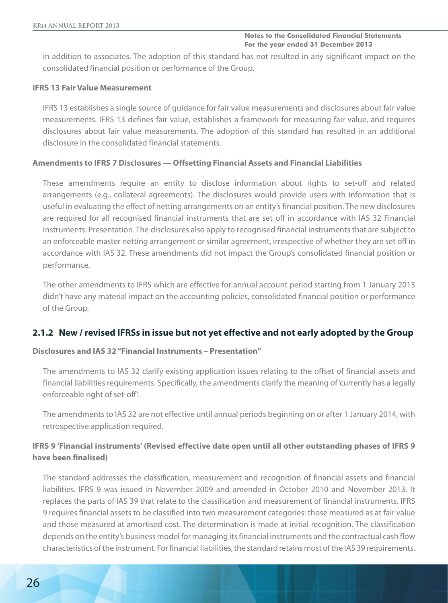in addition to associates. The adoption of this standard has not resulted in any significant impact on the consolidated financial position or performance of the Group.

#### **IFRS 13 Fair Value Measurement**

IFRS 13 establishes a single source of guidance for fair value measurements and disclosures about fair value measurements. IFRS 13 defines fair value, establishes a framework for measuring fair value, and requires disclosures about fair value measurements. The adoption of this standard has resulted in an additional disclosure in the consolidated financial statements.

#### **Amendments to IFRS 7 Disclosures — Offsetting Financial Assets and Financial Liabilities**

These amendments require an entity to disclose information about rights to set-off and related arrangements (e.g., collateral agreements). The disclosures would provide users with information that is useful in evaluating the effect of netting arrangements on an entity's financial position. The new disclosures are required for all recognised financial instruments that are set off in accordance with IAS 32 Financial Instruments: Presentation. The disclosures also apply to recognised financial instruments that are subject to an enforceable master netting arrangement or similar agreement, irrespective of whether they are set off in accordance with IAS 32. These amendments did not impact the Group's consolidated financial position or performance.

The other amendments to IFRS which are effective for annual account period starting from 1 January 2013 didn't have any material impact on the accounting policies, consolidated financial position or performance of the Group.

#### **2.1.2 New / revised IFRSs in issue but not yet effective and not early adopted by the Group**

#### **Disclosures and IAS 32 "Financial Instruments – Presentation"**

The amendments to IAS 32 clarify existing application issues relating to the offset of financial assets and financial liabilities requirements. Specifically, the amendments clarify the meaning of 'currently has a legally enforceable right of set-off'.

The amendments to IAS 32 are not effective until annual periods beginning on or after 1 January 2014, with retrospective application required.

#### **IFRS 9 'Financial instruments' (Revised effective date open until all other outstanding phases of IFRS 9 have been finalised)**

The standard addresses the classification, measurement and recognition of financial assets and financial liabilities. IFRS 9 was issued in November 2009 and amended in October 2010 and November 2013. It replaces the parts of IAS 39 that relate to the classification and measurement of financial instruments. IFRS 9 requires financial assets to be classified into two measurement categories: those measured as at fair value and those measured at amortised cost. The determination is made at initial recognition. The classification depends on the entity's business model for managing its financial instruments and the contractual cash flow characteristics of the instrument. For financial liabilities, the standard retains most of the IAS 39 requirements.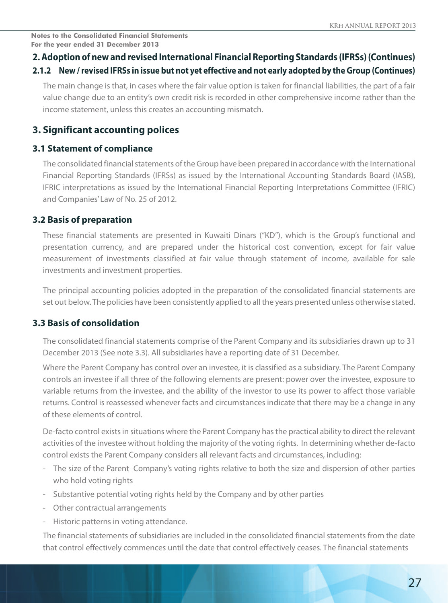## **2. Adoption of new and revised International Financial Reporting Standards (IFRSs) (Continues) 2.1.2 New / revised IFRSs in issue but not yet effective and not early adopted by the Group (Continues)**

The main change is that, in cases where the fair value option is taken for financial liabilities, the part of a fair value change due to an entity's own credit risk is recorded in other comprehensive income rather than the income statement, unless this creates an accounting mismatch.

## **3. Significant accounting polices**

#### **3.1 Statement of compliance**

The consolidated financial statements of the Group have been prepared in accordance with the International Financial Reporting Standards (IFRSs) as issued by the International Accounting Standards Board (IASB), IFRIC interpretations as issued by the International Financial Reporting Interpretations Committee (IFRIC) and Companies' Law of No. 25 of 2012.

#### **3.2 Basis of preparation**

These financial statements are presented in Kuwaiti Dinars ("KD"), which is the Group's functional and presentation currency, and are prepared under the historical cost convention, except for fair value measurement of investments classified at fair value through statement of income, available for sale investments and investment properties.

The principal accounting policies adopted in the preparation of the consolidated financial statements are set out below. The policies have been consistently applied to all the years presented unless otherwise stated.

#### **3.3 Basis of consolidation**

The consolidated financial statements comprise of the Parent Company and its subsidiaries drawn up to 31 December 2013 (See note 3.3). All subsidiaries have a reporting date of 31 December.

Where the Parent Company has control over an investee, it is classified as a subsidiary. The Parent Company controls an investee if all three of the following elements are present: power over the investee, exposure to variable returns from the investee, and the ability of the investor to use its power to affect those variable returns. Control is reassessed whenever facts and circumstances indicate that there may be a change in any of these elements of control.

De-facto control exists in situations where the Parent Company has the practical ability to direct the relevant activities of the investee without holding the majority of the voting rights. In determining whether de-facto control exists the Parent Company considers all relevant facts and circumstances, including:

- The size of the Parent Company's voting rights relative to both the size and dispersion of other parties who hold voting rights
- Substantive potential voting rights held by the Company and by other parties
- Other contractual arrangements
- Historic patterns in voting attendance.

The financial statements of subsidiaries are included in the consolidated financial statements from the date that control effectively commences until the date that control effectively ceases. The financial statements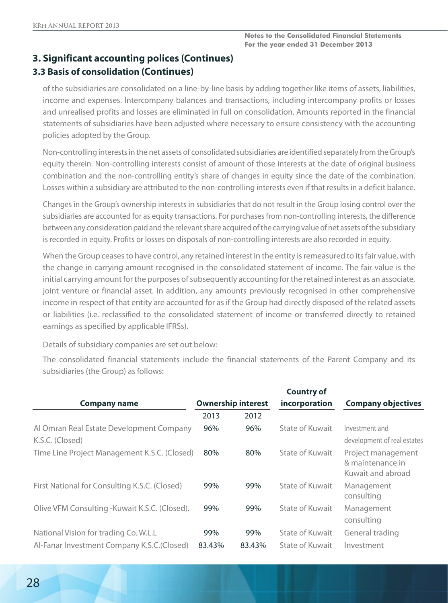## **3. Significant accounting polices (Continues) 3.3 Basis of consolidation (Continues)**

of the subsidiaries are consolidated on a line-by-line basis by adding together like items of assets, liabilities, income and expenses. Intercompany balances and transactions, including intercompany profits or losses and unrealised profits and losses are eliminated in full on consolidation. Amounts reported in the financial statements of subsidiaries have been adjusted where necessary to ensure consistency with the accounting policies adopted by the Group.

Non-controlling interests in the net assets of consolidated subsidiaries are identified separately from the Group's equity therein. Non-controlling interests consist of amount of those interests at the date of original business combination and the non-controlling entity's share of changes in equity since the date of the combination. Losses within a subsidiary are attributed to the non-controlling interests even if that results in a deficit balance.

Changes in the Group's ownership interests in subsidiaries that do not result in the Group losing control over the subsidiaries are accounted for as equity transactions. For purchases from non-controlling interests, the difference between any consideration paid and the relevant share acquired of the carrying value of net assets of the subsidiary is recorded in equity. Profits or losses on disposals of non-controlling interests are also recorded in equity.

When the Group ceases to have control, any retained interest in the entity is remeasured to its fair value, with the change in carrying amount recognised in the consolidated statement of income. The fair value is the initial carrying amount for the purposes of subsequently accounting for the retained interest as an associate, joint venture or financial asset. In addition, any amounts previously recognised in other comprehensive income in respect of that entity are accounted for as if the Group had directly disposed of the related assets or liabilities (i.e. reclassified to the consolidated statement of income or transferred directly to retained earnings as specified by applicable IFRSs).

Details of subsidiary companies are set out below:

The consolidated financial statements include the financial statements of the Parent Company and its subsidiaries (the Group) as follows:

|                                                             |        |                           | <b>Country of</b>      |                                                             |
|-------------------------------------------------------------|--------|---------------------------|------------------------|-------------------------------------------------------------|
| <b>Company name</b>                                         |        | <b>Ownership interest</b> | incorporation          | <b>Company objectives</b>                                   |
|                                                             | 2013   | 2012                      |                        |                                                             |
| Al Omran Real Estate Development Company<br>K.S.C. (Closed) | 96%    | 96%                       | State of Kuwait        | Investment and<br>development of real estates               |
| Time Line Project Management K.S.C. (Closed)                | 80%    | 80%                       | State of Kuwait        | Project management<br>& maintenance in<br>Kuwait and abroad |
| First National for Consulting K.S.C. (Closed)               | 99%    | 99%                       | <b>State of Kuwait</b> | Management<br>consulting                                    |
| Olive VFM Consulting - Kuwait K.S.C. (Closed).              | 99%    | 99%                       | State of Kuwait        | Management<br>consulting                                    |
| National Vision for trading Co. W.L.L                       | 99%    | 99%                       | <b>State of Kuwait</b> | General trading                                             |
| Al-Fanar Investment Company K.S.C. (Closed)                 | 83.43% | 83.43%                    | <b>State of Kuwait</b> | Investment                                                  |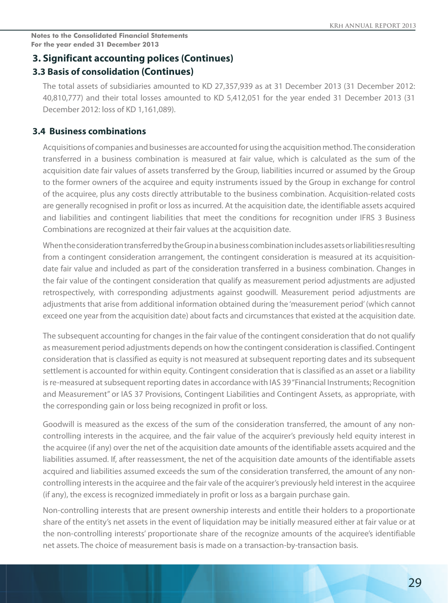## **3. Significant accounting polices (Continues) 3.3 Basis of consolidation (Continues)**

The total assets of subsidiaries amounted to KD 27,357,939 as at 31 December 2013 (31 December 2012: 40,810,777) and their total losses amounted to KD 5,412,051 for the year ended 31 December 2013 (31 December 2012: loss of KD 1,161,089).

#### **3.4 Business combinations**

Acquisitions of companies and businesses are accounted for using the acquisition method. The consideration transferred in a business combination is measured at fair value, which is calculated as the sum of the acquisition date fair values of assets transferred by the Group, liabilities incurred or assumed by the Group to the former owners of the acquiree and equity instruments issued by the Group in exchange for control of the acquiree, plus any costs directly attributable to the business combination. Acquisition-related costs are generally recognised in profit or loss as incurred. At the acquisition date, the identifiable assets acquired and liabilities and contingent liabilities that meet the conditions for recognition under IFRS 3 Business Combinations are recognized at their fair values at the acquisition date.

When the consideration transferred by the Group in a business combination includes assets or liabilities resulting from a contingent consideration arrangement, the contingent consideration is measured at its acquisitiondate fair value and included as part of the consideration transferred in a business combination. Changes in the fair value of the contingent consideration that qualify as measurement period adjustments are adjusted retrospectively, with corresponding adjustments against goodwill. Measurement period adjustments are adjustments that arise from additional information obtained during the 'measurement period' (which cannot exceed one year from the acquisition date) about facts and circumstances that existed at the acquisition date.

The subsequent accounting for changes in the fair value of the contingent consideration that do not qualify as measurement period adjustments depends on how the contingent consideration is classified. Contingent consideration that is classified as equity is not measured at subsequent reporting dates and its subsequent settlement is accounted for within equity. Contingent consideration that is classified as an asset or a liability is re-measured at subsequent reporting dates in accordance with IAS 39 "Financial Instruments; Recognition and Measurement" or IAS 37 Provisions, Contingent Liabilities and Contingent Assets, as appropriate, with the corresponding gain or loss being recognized in profit or loss.

Goodwill is measured as the excess of the sum of the consideration transferred, the amount of any noncontrolling interests in the acquiree, and the fair value of the acquirer's previously held equity interest in the acquiree (if any) over the net of the acquisition date amounts of the identifiable assets acquired and the liabilities assumed. If, after reassessment, the net of the acquisition date amounts of the identifiable assets acquired and liabilities assumed exceeds the sum of the consideration transferred, the amount of any noncontrolling interests in the acquiree and the fair vale of the acquirer's previously held interest in the acquiree (if any), the excess is recognized immediately in profit or loss as a bargain purchase gain.

Non-controlling interests that are present ownership interests and entitle their holders to a proportionate share of the entity's net assets in the event of liquidation may be initially measured either at fair value or at the non-controlling interests' proportionate share of the recognize amounts of the acquiree's identifiable net assets. The choice of measurement basis is made on a transaction-by-transaction basis.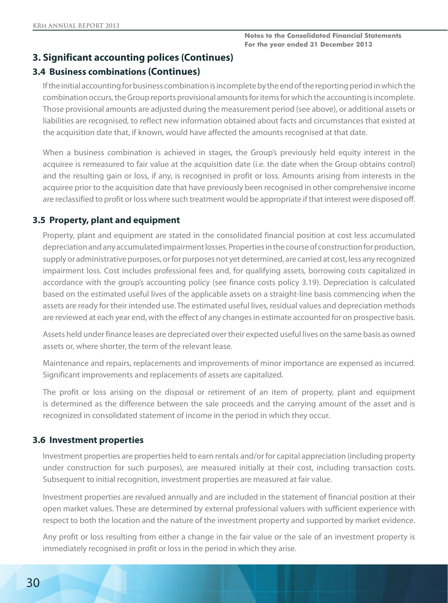## **3. Significant accounting polices (Continues)**

#### **3.4 Business combinations (Continues)**

If the initial accounting for business combination is incomplete by the end of the reporting period in which the combination occurs, the Group reports provisional amounts for items for which the accounting is incomplete. Those provisional amounts are adjusted during the measurement period (see above), or additional assets or liabilities are recognised, to reflect new information obtained about facts and circumstances that existed at the acquisition date that, if known, would have affected the amounts recognised at that date.

When a business combination is achieved in stages, the Group's previously held equity interest in the acquiree is remeasured to fair value at the acquisition date (i.e. the date when the Group obtains control) and the resulting gain or loss, if any, is recognised in profit or loss. Amounts arising from interests in the acquiree prior to the acquisition date that have previously been recognised in other comprehensive income are reclassified to profit or loss where such treatment would be appropriate if that interest were disposed off.

#### **3.5 Property, plant and equipment**

Property, plant and equipment are stated in the consolidated financial position at cost less accumulated depreciation and any accumulated impairment losses. Properties in the course of construction for production, supply or administrative purposes, or for purposes not yet determined, are carried at cost, less any recognized impairment loss. Cost includes professional fees and, for qualifying assets, borrowing costs capitalized in accordance with the group's accounting policy (see finance costs policy 3.19). Depreciation is calculated based on the estimated useful lives of the applicable assets on a straight-line basis commencing when the assets are ready for their intended use. The estimated useful lives, residual values and depreciation methods are reviewed at each year end, with the effect of any changes in estimate accounted for on prospective basis.

Assets held under finance leases are depreciated over their expected useful lives on the same basis as owned assets or, where shorter, the term of the relevant lease.

Maintenance and repairs, replacements and improvements of minor importance are expensed as incurred. Significant improvements and replacements of assets are capitalized.

The profit or loss arising on the disposal or retirement of an item of property, plant and equipment is determined as the difference between the sale proceeds and the carrying amount of the asset and is recognized in consolidated statement of income in the period in which they occur.

## **3.6 Investment properties**

Investment properties are properties held to earn rentals and/or for capital appreciation (including property under construction for such purposes), are measured initially at their cost, including transaction costs. Subsequent to initial recognition, investment properties are measured at fair value.

Investment properties are revalued annually and are included in the statement of financial position at their open market values. These are determined by external professional valuers with sufficient experience with respect to both the location and the nature of the investment property and supported by market evidence.

Any profit or loss resulting from either a change in the fair value or the sale of an investment property is immediately recognised in profit or loss in the period in which they arise.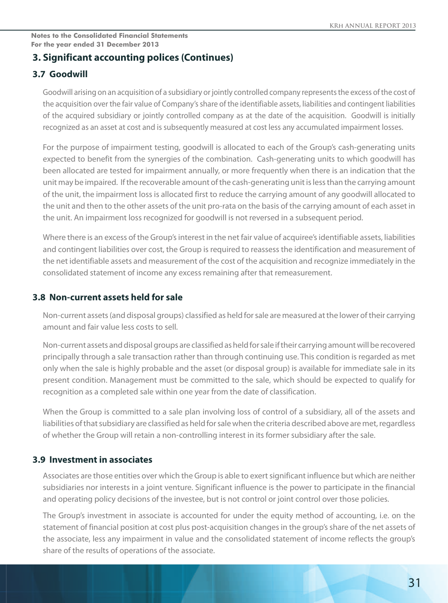#### **3. Significant accounting polices (Continues)**

#### **3.7 Goodwill**

Goodwill arising on an acquisition of a subsidiary or jointly controlled company represents the excess of the cost of the acquisition over the fair value of Company's share of the identifiable assets, liabilities and contingent liabilities of the acquired subsidiary or jointly controlled company as at the date of the acquisition. Goodwill is initially recognized as an asset at cost and is subsequently measured at cost less any accumulated impairment losses.

For the purpose of impairment testing, goodwill is allocated to each of the Group's cash-generating units expected to benefit from the synergies of the combination. Cash-generating units to which goodwill has been allocated are tested for impairment annually, or more frequently when there is an indication that the unit may be impaired. If the recoverable amount of the cash-generating unit is less than the carrying amount of the unit, the impairment loss is allocated first to reduce the carrying amount of any goodwill allocated to the unit and then to the other assets of the unit pro-rata on the basis of the carrying amount of each asset in the unit. An impairment loss recognized for goodwill is not reversed in a subsequent period.

Where there is an excess of the Group's interest in the net fair value of acquiree's identifiable assets, liabilities and contingent liabilities over cost, the Group is required to reassess the identification and measurement of the net identifiable assets and measurement of the cost of the acquisition and recognize immediately in the consolidated statement of income any excess remaining after that remeasurement.

#### **3.8 Non-current assets held for sale**

Non-current assets (and disposal groups) classified as held for sale are measured at the lower of their carrying amount and fair value less costs to sell.

Non-current assets and disposal groups are classified as held for sale if their carrying amount will be recovered principally through a sale transaction rather than through continuing use. This condition is regarded as met only when the sale is highly probable and the asset (or disposal group) is available for immediate sale in its present condition. Management must be committed to the sale, which should be expected to qualify for recognition as a completed sale within one year from the date of classification.

When the Group is committed to a sale plan involving loss of control of a subsidiary, all of the assets and liabilities of that subsidiary are classified as held for sale when the criteria described above are met, regardless of whether the Group will retain a non-controlling interest in its former subsidiary after the sale.

#### **3.9 Investment in associates**

Associates are those entities over which the Group is able to exert significant influence but which are neither subsidiaries nor interests in a joint venture. Significant influence is the power to participate in the financial and operating policy decisions of the investee, but is not control or joint control over those policies.

The Group's investment in associate is accounted for under the equity method of accounting, i.e. on the statement of financial position at cost plus post-acquisition changes in the group's share of the net assets of the associate, less any impairment in value and the consolidated statement of income reflects the group's share of the results of operations of the associate.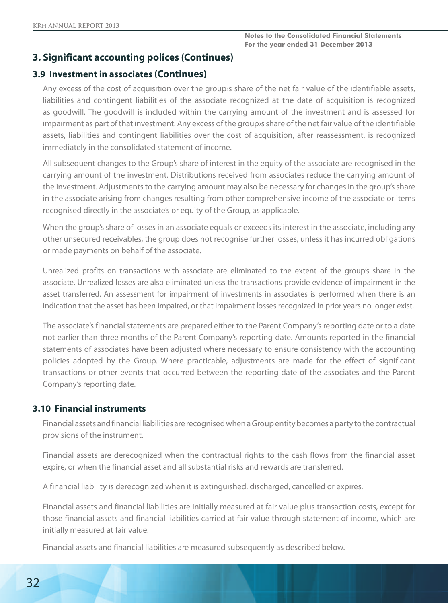## **3. Significant accounting polices (Continues)**

#### **3.9 Investment in associates (Continues)**

Any excess of the cost of acquisition over the group›s share of the net fair value of the identifiable assets, liabilities and contingent liabilities of the associate recognized at the date of acquisition is recognized as goodwill. The goodwill is included within the carrying amount of the investment and is assessed for impairment as part of that investment. Any excess of the group›s share of the net fair value of the identifiable assets, liabilities and contingent liabilities over the cost of acquisition, after reassessment, is recognized immediately in the consolidated statement of income.

All subsequent changes to the Group's share of interest in the equity of the associate are recognised in the carrying amount of the investment. Distributions received from associates reduce the carrying amount of the investment. Adjustments to the carrying amount may also be necessary for changes in the group's share in the associate arising from changes resulting from other comprehensive income of the associate or items recognised directly in the associate's or equity of the Group, as applicable.

When the group's share of losses in an associate equals or exceeds its interest in the associate, including any other unsecured receivables, the group does not recognise further losses, unless it has incurred obligations or made payments on behalf of the associate.

Unrealized profits on transactions with associate are eliminated to the extent of the group's share in the associate. Unrealized losses are also eliminated unless the transactions provide evidence of impairment in the asset transferred. An assessment for impairment of investments in associates is performed when there is an indication that the asset has been impaired, or that impairment losses recognized in prior years no longer exist.

The associate's financial statements are prepared either to the Parent Company's reporting date or to a date not earlier than three months of the Parent Company's reporting date. Amounts reported in the financial statements of associates have been adjusted where necessary to ensure consistency with the accounting policies adopted by the Group. Where practicable, adjustments are made for the effect of significant transactions or other events that occurred between the reporting date of the associates and the Parent Company's reporting date.

#### **3.10 Financial instruments**

Financial assets and financial liabilities are recognised when a Group entity becomes a party to the contractual provisions of the instrument.

Financial assets are derecognized when the contractual rights to the cash flows from the financial asset expire, or when the financial asset and all substantial risks and rewards are transferred.

A financial liability is derecognized when it is extinguished, discharged, cancelled or expires.

Financial assets and financial liabilities are initially measured at fair value plus transaction costs, except for those financial assets and financial liabilities carried at fair value through statement of income, which are initially measured at fair value.

Financial assets and financial liabilities are measured subsequently as described below.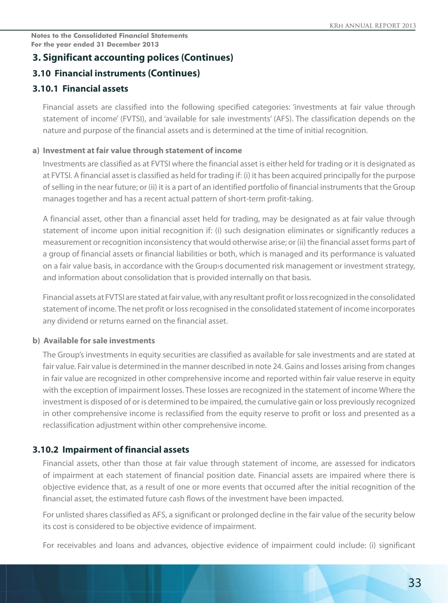#### **3. Significant accounting polices (Continues)**

#### **3.10 Financial instruments (Continues)**

#### **3.10.1 Financial assets**

Financial assets are classified into the following specified categories: 'investments at fair value through statement of income' (FVTSI), and 'available for sale investments' (AFS). The classification depends on the nature and purpose of the financial assets and is determined at the time of initial recognition.

#### **a) Investment at fair value through statement of income**

Investments are classified as at FVTSI where the financial asset is either held for trading or it is designated as at FVTSI. A financial asset is classified as held for trading if: (i) it has been acquired principally for the purpose of selling in the near future; or (ii) it is a part of an identified portfolio of financial instruments that the Group manages together and has a recent actual pattern of short-term profit-taking.

A financial asset, other than a financial asset held for trading, may be designated as at fair value through statement of income upon initial recognition if: (i) such designation eliminates or significantly reduces a measurement or recognition inconsistency that would otherwise arise; or (ii) the financial asset forms part of a group of financial assets or financial liabilities or both, which is managed and its performance is valuated on a fair value basis, in accordance with the Group›s documented risk management or investment strategy, and information about consolidation that is provided internally on that basis.

Financial assets at FVTSI are stated at fair value, with any resultant profit or loss recognized in the consolidated statement of income. The net profit or loss recognised in the consolidated statement of income incorporates any dividend or returns earned on the financial asset.

#### **b) Available for sale investments**

The Group's investments in equity securities are classified as available for sale investments and are stated at fair value. Fair value is determined in the manner described in note 24. Gains and losses arising from changes in fair value are recognized in other comprehensive income and reported within fair value reserve in equity with the exception of impairment losses. These losses are recognized in the statement of income Where the investment is disposed of or is determined to be impaired, the cumulative gain or loss previously recognized in other comprehensive income is reclassified from the equity reserve to profit or loss and presented as a reclassification adjustment within other comprehensive income.

#### **3.10.2 Impairment of financial assets**

Financial assets, other than those at fair value through statement of income, are assessed for indicators of impairment at each statement of financial position date. Financial assets are impaired where there is objective evidence that, as a result of one or more events that occurred after the initial recognition of the financial asset, the estimated future cash flows of the investment have been impacted.

For unlisted shares classified as AFS, a significant or prolonged decline in the fair value of the security below its cost is considered to be objective evidence of impairment.

For receivables and loans and advances, objective evidence of impairment could include: (i) significant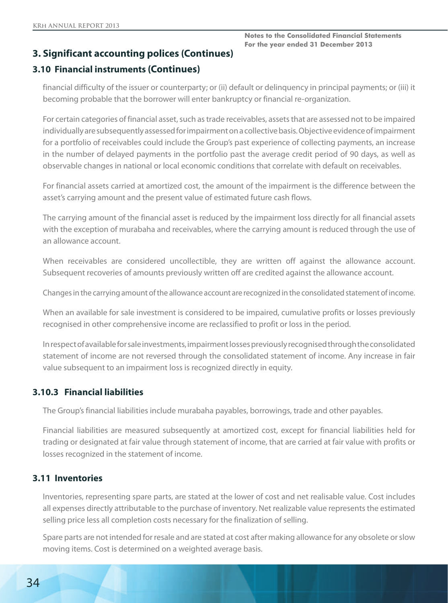#### **3. Significant accounting polices (Continues)**

#### **3.10 Financial instruments (Continues)**

financial difficulty of the issuer or counterparty; or (ii) default or delinquency in principal payments; or (iii) it becoming probable that the borrower will enter bankruptcy or financial re-organization.

For certain categories of financial asset, such as trade receivables, assets that are assessed not to be impaired individually are subsequently assessed for impairment on a collective basis. Objective evidence of impairment for a portfolio of receivables could include the Group's past experience of collecting payments, an increase in the number of delayed payments in the portfolio past the average credit period of 90 days, as well as observable changes in national or local economic conditions that correlate with default on receivables.

For financial assets carried at amortized cost, the amount of the impairment is the difference between the asset's carrying amount and the present value of estimated future cash flows.

The carrying amount of the financial asset is reduced by the impairment loss directly for all financial assets with the exception of murabaha and receivables, where the carrying amount is reduced through the use of an allowance account.

When receivables are considered uncollectible, they are written off against the allowance account. Subsequent recoveries of amounts previously written off are credited against the allowance account.

Changes in the carrying amount of the allowance account are recognized in the consolidated statement of income.

When an available for sale investment is considered to be impaired, cumulative profits or losses previously recognised in other comprehensive income are reclassified to profit or loss in the period.

In respect of available for sale investments, impairment losses previously recognised through the consolidated statement of income are not reversed through the consolidated statement of income. Any increase in fair value subsequent to an impairment loss is recognized directly in equity.

#### **3.10.3 Financial liabilities**

The Group's financial liabilities include murabaha payables, borrowings, trade and other payables.

Financial liabilities are measured subsequently at amortized cost, except for financial liabilities held for trading or designated at fair value through statement of income, that are carried at fair value with profits or losses recognized in the statement of income.

#### **3.11 Inventories**

Inventories, representing spare parts, are stated at the lower of cost and net realisable value. Cost includes all expenses directly attributable to the purchase of inventory. Net realizable value represents the estimated selling price less all completion costs necessary for the finalization of selling.

Spare parts are not intended for resale and are stated at cost after making allowance for any obsolete or slow moving items. Cost is determined on a weighted average basis.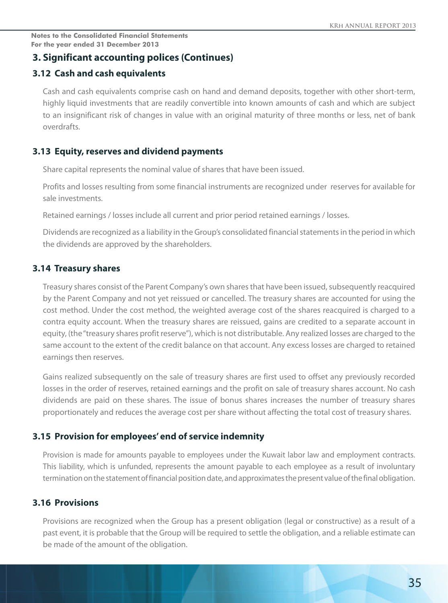#### **3. Significant accounting polices (Continues)**

#### **3.12 Cash and cash equivalents**

Cash and cash equivalents comprise cash on hand and demand deposits, together with other short-term, highly liquid investments that are readily convertible into known amounts of cash and which are subject to an insignificant risk of changes in value with an original maturity of three months or less, net of bank overdrafts.

#### **3.13 Equity, reserves and dividend payments**

Share capital represents the nominal value of shares that have been issued.

Profits and losses resulting from some financial instruments are recognized under reserves for available for sale investments.

Retained earnings / losses include all current and prior period retained earnings / losses.

Dividends are recognized as a liability in the Group's consolidated financial statements in the period in which the dividends are approved by the shareholders.

#### **3.14 Treasury shares**

Treasury shares consist of the Parent Company's own shares that have been issued, subsequently reacquired by the Parent Company and not yet reissued or cancelled. The treasury shares are accounted for using the cost method. Under the cost method, the weighted average cost of the shares reacquired is charged to a contra equity account. When the treasury shares are reissued, gains are credited to a separate account in equity, (the "treasury shares profit reserve"), which is not distributable. Any realized losses are charged to the same account to the extent of the credit balance on that account. Any excess losses are charged to retained earnings then reserves.

Gains realized subsequently on the sale of treasury shares are first used to offset any previously recorded losses in the order of reserves, retained earnings and the profit on sale of treasury shares account. No cash dividends are paid on these shares. The issue of bonus shares increases the number of treasury shares proportionately and reduces the average cost per share without affecting the total cost of treasury shares.

#### **3.15 Provision for employees' end of service indemnity**

Provision is made for amounts payable to employees under the Kuwait labor law and employment contracts. This liability, which is unfunded, represents the amount payable to each employee as a result of involuntary termination on the statement of financial position date, and approximates the present value of the final obligation.

#### **3.16 Provisions**

Provisions are recognized when the Group has a present obligation (legal or constructive) as a result of a past event, it is probable that the Group will be required to settle the obligation, and a reliable estimate can be made of the amount of the obligation.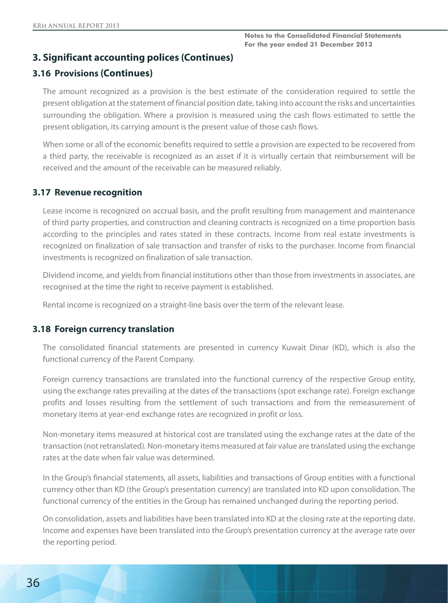## **3. Significant accounting polices (Continues)**

## **3.16 Provisions (Continues)**

The amount recognized as a provision is the best estimate of the consideration required to settle the present obligation at the statement of financial position date, taking into account the risks and uncertainties surrounding the obligation. Where a provision is measured using the cash flows estimated to settle the present obligation, its carrying amount is the present value of those cash flows.

When some or all of the economic benefits required to settle a provision are expected to be recovered from a third party, the receivable is recognized as an asset if it is virtually certain that reimbursement will be received and the amount of the receivable can be measured reliably.

#### **3.17 Revenue recognition**

Lease income is recognized on accrual basis, and the profit resulting from management and maintenance of third party properties, and construction and cleaning contracts is recognized on a time proportion basis according to the principles and rates stated in these contracts. Income from real estate investments is recognized on finalization of sale transaction and transfer of risks to the purchaser. Income from financial investments is recognized on finalization of sale transaction.

Dividend income, and yields from financial institutions other than those from investments in associates, are recognised at the time the right to receive payment is established.

Rental income is recognized on a straight-line basis over the term of the relevant lease.

#### **3.18 Foreign currency translation**

The consolidated financial statements are presented in currency Kuwait Dinar (KD), which is also the functional currency of the Parent Company.

Foreign currency transactions are translated into the functional currency of the respective Group entity, using the exchange rates prevailing at the dates of the transactions (spot exchange rate). Foreign exchange profits and losses resulting from the settlement of such transactions and from the remeasurement of monetary items at year-end exchange rates are recognized in profit or loss.

Non-monetary items measured at historical cost are translated using the exchange rates at the date of the transaction (not retranslated). Non-monetary items measured at fair value are translated using the exchange rates at the date when fair value was determined.

In the Group's financial statements, all assets, liabilities and transactions of Group entities with a functional currency other than KD (the Group's presentation currency) are translated into KD upon consolidation. The functional currency of the entities in the Group has remained unchanged during the reporting period.

On consolidation, assets and liabilities have been translated into KD at the closing rate at the reporting date. Income and expenses have been translated into the Group's presentation currency at the average rate over the reporting period.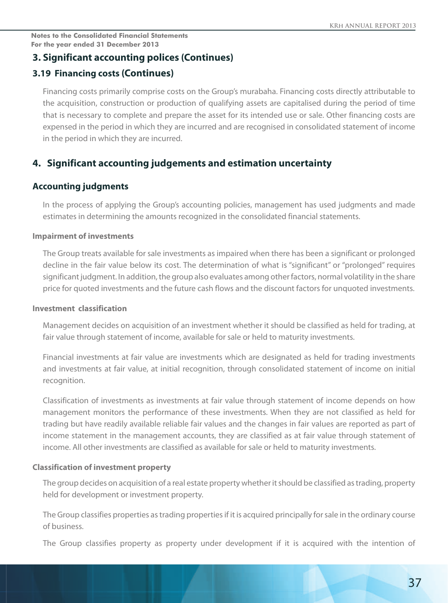#### **3. Significant accounting polices (Continues)**

#### **3.19 Financing costs (Continues)**

Financing costs primarily comprise costs on the Group's murabaha. Financing costs directly attributable to the acquisition, construction or production of qualifying assets are capitalised during the period of time that is necessary to complete and prepare the asset for its intended use or sale. Other financing costs are expensed in the period in which they are incurred and are recognised in consolidated statement of income in the period in which they are incurred.

## **4. Significant accounting judgements and estimation uncertainty**

#### **Accounting judgments**

In the process of applying the Group's accounting policies, management has used judgments and made estimates in determining the amounts recognized in the consolidated financial statements.

#### **Impairment of investments**

The Group treats available for sale investments as impaired when there has been a significant or prolonged decline in the fair value below its cost. The determination of what is "significant" or "prolonged" requires significant judgment. In addition, the group also evaluates among other factors, normal volatility in the share price for quoted investments and the future cash flows and the discount factors for unquoted investments.

#### **Investment classification**

Management decides on acquisition of an investment whether it should be classified as held for trading, at fair value through statement of income, available for sale or held to maturity investments.

Financial investments at fair value are investments which are designated as held for trading investments and investments at fair value, at initial recognition, through consolidated statement of income on initial recognition.

Classification of investments as investments at fair value through statement of income depends on how management monitors the performance of these investments. When they are not classified as held for trading but have readily available reliable fair values and the changes in fair values are reported as part of income statement in the management accounts, they are classified as at fair value through statement of income. All other investments are classified as available for sale or held to maturity investments.

#### **Classification of investment property**

The group decides on acquisition of a real estate property whether it should be classified as trading, property held for development or investment property.

The Group classifies properties as trading properties if it is acquired principally for sale in the ordinary course of business.

The Group classifies property as property under development if it is acquired with the intention of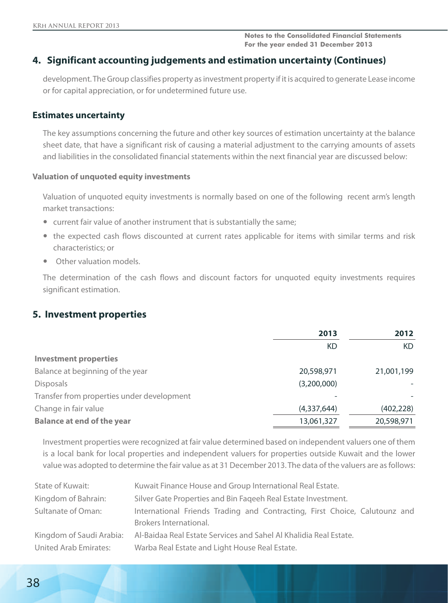## **4. Significant accounting judgements and estimation uncertainty (Continues)**

development. The Group classifies property as investment property if it is acquired to generate Lease income or for capital appreciation, or for undetermined future use.

#### **Estimates uncertainty**

The key assumptions concerning the future and other key sources of estimation uncertainty at the balance sheet date, that have a significant risk of causing a material adjustment to the carrying amounts of assets and liabilities in the consolidated financial statements within the next financial year are discussed below:

#### **Valuation of unquoted equity investments**

Valuation of unquoted equity investments is normally based on one of the following recent arm's length market transactions:

- current fair value of another instrument that is substantially the same;
- the expected cash flows discounted at current rates applicable for items with similar terms and risk characteristics; or
- Other valuation models.

The determination of the cash flows and discount factors for unquoted equity investments requires significant estimation.

## **5. Investment properties**

|                                            | 2013        | 2012       |
|--------------------------------------------|-------------|------------|
|                                            | <b>KD</b>   | KD.        |
| <b>Investment properties</b>               |             |            |
| Balance at beginning of the year           | 20,598,971  | 21,001,199 |
| <b>Disposals</b>                           | (3,200,000) |            |
| Transfer from properties under development |             |            |
| Change in fair value                       | (4,337,644) | (402, 228) |
| <b>Balance at end of the year</b>          | 13,061,327  | 20,598,971 |
|                                            |             |            |

Investment properties were recognized at fair value determined based on independent valuers one of them is a local bank for local properties and independent valuers for properties outside Kuwait and the lower value was adopted to determine the fair value as at 31 December 2013. The data of the valuers are as follows:

| State of Kuwait:         | Kuwait Finance House and Group International Real Estate.                  |
|--------------------------|----------------------------------------------------------------------------|
| Kingdom of Bahrain:      | Silver Gate Properties and Bin Fageeh Real Estate Investment.              |
| Sultanate of Oman:       | International Friends Trading and Contracting, First Choice, Calutounz and |
|                          | Brokers International.                                                     |
| Kingdom of Saudi Arabia: | Al-Baidaa Real Estate Services and Sahel Al Khalidia Real Estate.          |
| United Arab Emirates:    | Warba Real Estate and Light House Real Estate.                             |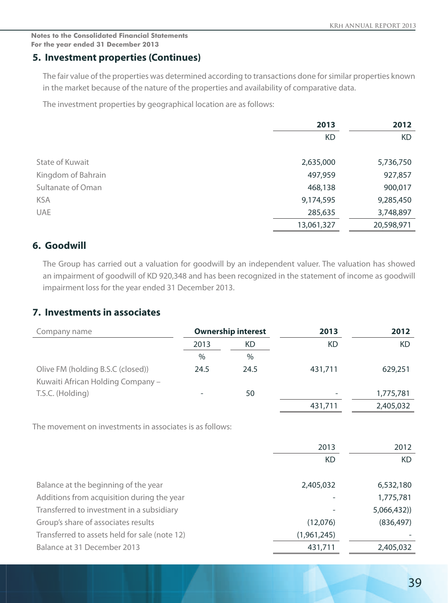#### **5. Investment properties (Continues)**

The fair value of the properties was determined according to transactions done for similar properties known in the market because of the nature of the properties and availability of comparative data.

The investment properties by geographical location are as follows:

|                    | 2013       | 2012       |
|--------------------|------------|------------|
|                    | <b>KD</b>  | <b>KD</b>  |
| State of Kuwait    | 2,635,000  | 5,736,750  |
| Kingdom of Bahrain | 497,959    | 927,857    |
| Sultanate of Oman  | 468,138    | 900,017    |
| <b>KSA</b>         | 9,174,595  | 9,285,450  |
| <b>UAE</b>         | 285,635    | 3,748,897  |
|                    | 13,061,327 | 20,598,971 |

## **6. Goodwill**

The Group has carried out a valuation for goodwill by an independent valuer. The valuation has showed an impairment of goodwill of KD 920,348 and has been recognized in the statement of income as goodwill impairment loss for the year ended 31 December 2013.

## **7. Investments in associates**

| Company name                                             |      | <b>Ownership interest</b> | 2013        | 2012        |
|----------------------------------------------------------|------|---------------------------|-------------|-------------|
|                                                          | 2013 | <b>KD</b>                 | <b>KD</b>   | <b>KD</b>   |
|                                                          | $\%$ | $\%$                      |             |             |
| Olive FM (holding B.S.C (closed))                        | 24.5 | 24.5                      | 431,711     | 629,251     |
| Kuwaiti African Holding Company -                        |      |                           |             |             |
| T.S.C. (Holding)                                         |      | 50                        |             | 1,775,781   |
|                                                          |      |                           | 431,711     | 2,405,032   |
|                                                          |      |                           | 2013        | 2012        |
| The movement on investments in associates is as follows: |      |                           |             |             |
|                                                          |      |                           | <b>KD</b>   | <b>KD</b>   |
| Balance at the beginning of the year                     |      |                           | 2,405,032   | 6,532,180   |
| Additions from acquisition during the year               |      |                           |             |             |
|                                                          |      |                           |             | 1,775,781   |
| Transferred to investment in a subsidiary                |      |                           |             | 5,066,432)) |
| Group's share of associates results                      |      |                           | (12,076)    | (836, 497)  |
| Transferred to assets held for sale (note 12)            |      |                           | (1,961,245) |             |

Balance at 31 December 2013 **431,711** 2,405,032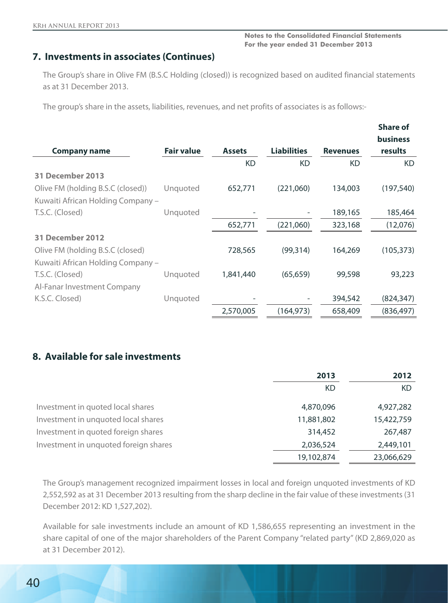#### **7. Investments in associates (Continues)**

The Group's share in Olive FM (B.S.C Holding (closed)) is recognized based on audited financial statements as at 31 December 2013.

The group's share in the assets, liabilities, revenues, and net profits of associates is as follows:-

| <b>Company name</b>               | <b>Fair value</b> | <b>Assets</b> | <b>Liabilities</b> | <b>Revenues</b> | <b>Share of</b><br><b>business</b><br>results |
|-----------------------------------|-------------------|---------------|--------------------|-----------------|-----------------------------------------------|
|                                   |                   | <b>KD</b>     | <b>KD</b>          | <b>KD</b>       | <b>KD</b>                                     |
| 31 December 2013                  |                   |               |                    |                 |                                               |
| Olive FM (holding B.S.C (closed)) | Unquoted          | 652,771       | (221,060)          | 134,003         | (197, 540)                                    |
| Kuwaiti African Holding Company - |                   |               |                    |                 |                                               |
| T.S.C. (Closed)                   | Unquoted          |               |                    | 189,165         | 185,464                                       |
|                                   |                   | 652,771       | (221,060)          | 323,168         | (12,076)                                      |
| 31 December 2012                  |                   |               |                    |                 |                                               |
| Olive FM (holding B.S.C (closed)  |                   | 728,565       | (99, 314)          | 164,269         | (105, 373)                                    |
| Kuwaiti African Holding Company - |                   |               |                    |                 |                                               |
| T.S.C. (Closed)                   | Unquoted          | 1,841,440     | (65, 659)          | 99,598          | 93,223                                        |
| Al-Fanar Investment Company       |                   |               |                    |                 |                                               |
| K.S.C. Closed)                    | Unquoted          |               |                    | 394,542         | (824, 347)                                    |
|                                   |                   | 2,570,005     | (164, 973)         | 658,409         | (836, 497)                                    |

## **8. Available for sale investments**

|                                       | 2013       | 2012       |
|---------------------------------------|------------|------------|
|                                       | <b>KD</b>  | KD         |
| Investment in quoted local shares     | 4,870,096  | 4,927,282  |
| Investment in unquoted local shares   | 11,881,802 | 15,422,759 |
| Investment in quoted foreign shares   | 314,452    | 267,487    |
| Investment in unquoted foreign shares | 2,036,524  | 2,449,101  |
|                                       | 19,102,874 | 23,066,629 |

The Group's management recognized impairment losses in local and foreign unquoted investments of KD 2,552,592 as at 31 December 2013 resulting from the sharp decline in the fair value of these investments (31 December 2012: KD 1,527,202).

Available for sale investments include an amount of KD 1,586,655 representing an investment in the share capital of one of the major shareholders of the Parent Company "related party" (KD 2,869,020 as at 31 December 2012).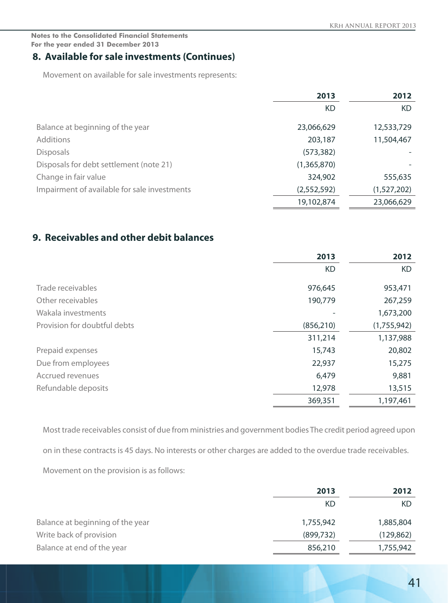## **8. Available for sale investments (Continues)**

Movement on available for sale investments represents:

|                                              | 2013        | 2012        |
|----------------------------------------------|-------------|-------------|
|                                              | <b>KD</b>   | <b>KD</b>   |
| Balance at beginning of the year             | 23,066,629  | 12,533,729  |
| Additions                                    | 203,187     | 11,504,467  |
| <b>Disposals</b>                             | (573, 382)  |             |
| Disposals for debt settlement (note 21)      | (1,365,870) |             |
| Change in fair value                         | 324,902     | 555,635     |
| Impairment of available for sale investments | (2,552,592) | (1,527,202) |
|                                              | 19,102,874  | 23,066,629  |

## **9. Receivables and other debit balances**

|                              | 2013       | 2012        |
|------------------------------|------------|-------------|
|                              | <b>KD</b>  | <b>KD</b>   |
| Trade receivables            | 976,645    | 953,471     |
| Other receivables            | 190,779    | 267,259     |
| Wakala investments           |            | 1,673,200   |
| Provision for doubtful debts | (856, 210) | (1,755,942) |
|                              | 311,214    | 1,137,988   |
| Prepaid expenses             | 15,743     | 20,802      |
| Due from employees           | 22,937     | 15,275      |
| Accrued revenues             | 6,479      | 9,881       |
| Refundable deposits          | 12,978     | 13,515      |
|                              | 369,351    | 1,197,461   |

Most trade receivables consist of due from ministries and government bodies The credit period agreed upon on in these contracts is 45 days. No interests or other charges are added to the overdue trade receivables. Movement on the provision is as follows:

|                                  | 2013       | 2012       |
|----------------------------------|------------|------------|
|                                  | KD         | KD         |
| Balance at beginning of the year | 1,755,942  | 1,885,804  |
| Write back of provision          | (899, 732) | (129, 862) |
| Balance at end of the year       | 856,210    | 1,755,942  |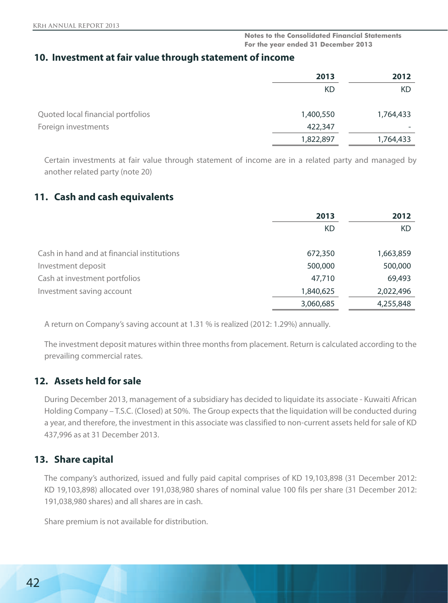#### **10. Investment at fair value through statement of income**

|                                   | 2013      | 2012                     |
|-----------------------------------|-----------|--------------------------|
|                                   | <b>KD</b> | <b>KD</b>                |
| Quoted local financial portfolios | 1,400,550 | 1,764,433                |
| Foreign investments               | 422,347   | $\overline{\phantom{0}}$ |
|                                   | 1,822,897 | 1,764,433                |

Certain investments at fair value through statement of income are in a related party and managed by another related party (note 20)

#### **11. Cash and cash equivalents**

|                                            | 2013      | 2012      |
|--------------------------------------------|-----------|-----------|
|                                            | <b>KD</b> | <b>KD</b> |
| Cash in hand and at financial institutions | 672,350   | 1,663,859 |
| Investment deposit                         | 500,000   | 500,000   |
| Cash at investment portfolios              | 47,710    | 69,493    |
| Investment saving account                  | 1,840,625 | 2,022,496 |
|                                            | 3,060,685 | 4,255,848 |

A return on Company's saving account at 1.31 % is realized (2012: 1.29%) annually.

The investment deposit matures within three months from placement. Return is calculated according to the prevailing commercial rates.

## **12. Assets held for sale**

During December 2013, management of a subsidiary has decided to liquidate its associate - Kuwaiti African Holding Company – T.S.C. (Closed) at 50%. The Group expects that the liquidation will be conducted during a year, and therefore, the investment in this associate was classified to non-current assets held for sale of KD 437,996 as at 31 December 2013.

## **13. Share capital**

The company's authorized, issued and fully paid capital comprises of KD 19,103,898 (31 December 2012: KD 19,103,898) allocated over 191,038,980 shares of nominal value 100 fils per share (31 December 2012: 191,038,980 shares) and all shares are in cash.

Share premium is not available for distribution.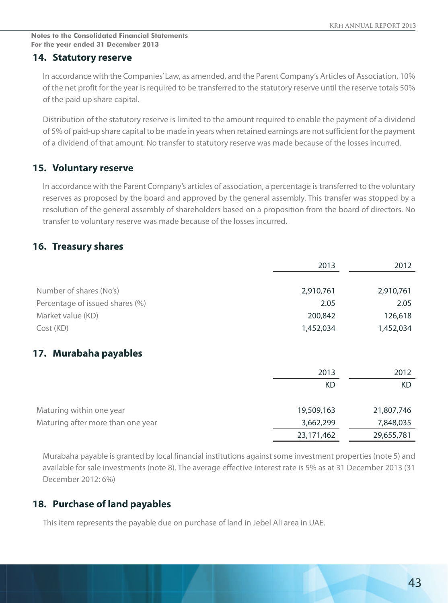#### **14. Statutory reserve**

In accordance with the Companies' Law, as amended, and the Parent Company's Articles of Association, 10% of the net profit for the year is required to be transferred to the statutory reserve until the reserve totals 50% of the paid up share capital.

Distribution of the statutory reserve is limited to the amount required to enable the payment of a dividend of 5% of paid-up share capital to be made in years when retained earnings are not sufficient for the payment of a dividend of that amount. No transfer to statutory reserve was made because of the losses incurred.

#### **15. Voluntary reserve**

In accordance with the Parent Company's articles of association, a percentage is transferred to the voluntary reserves as proposed by the board and approved by the general assembly. This transfer was stopped by a resolution of the general assembly of shareholders based on a proposition from the board of directors. No transfer to voluntary reserve was made because of the losses incurred.

#### **16. Treasury shares**

|                                   | 2013       | 2012       |
|-----------------------------------|------------|------------|
|                                   |            |            |
| Number of shares (No's)           | 2,910,761  | 2,910,761  |
| Percentage of issued shares (%)   | 2.05       | 2.05       |
| Market value (KD)                 | 200,842    | 126,618    |
| Cost (KD)                         | 1,452,034  | 1,452,034  |
|                                   | 2013       | 2012       |
| 17. Murabaha payables             |            |            |
|                                   | <b>KD</b>  | KD.        |
|                                   |            |            |
| Maturing within one year          | 19,509,163 | 21,807,746 |
| Maturing after more than one year | 3,662,299  | 7,848,035  |
|                                   | 23,171,462 | 29,655,781 |

Murabaha payable is granted by local financial institutions against some investment properties (note 5) and available for sale investments (note 8). The average effective interest rate is 5% as at 31 December 2013 (31 December 2012: 6%)

#### **18. Purchase of land payables**

This item represents the payable due on purchase of land in Jebel Ali area in UAE.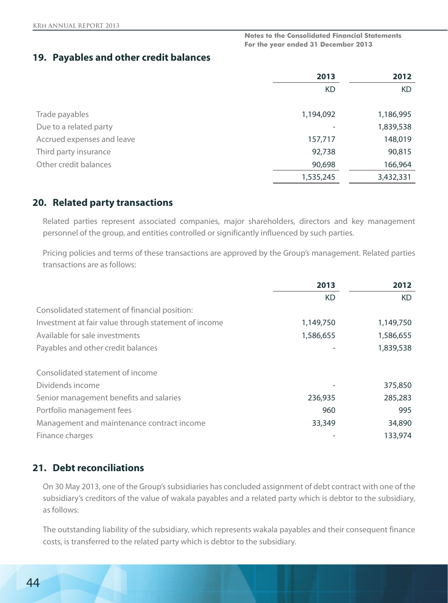#### **19. Payables and other credit balances**

|                            | 2013      | 2012      |
|----------------------------|-----------|-----------|
|                            | <b>KD</b> | <b>KD</b> |
| Trade payables             | 1,194,092 | 1,186,995 |
| Due to a related party     |           | 1,839,538 |
| Accrued expenses and leave | 157,717   | 148,019   |
| Third party insurance      | 92,738    | 90,815    |
| Other credit balances      | 90,698    | 166,964   |
|                            | 1,535,245 | 3,432,331 |

#### **20. Related party transactions**

Related parties represent associated companies, major shareholders, directors and key management personnel of the group, and entities controlled or significantly influenced by such parties.

Pricing policies and terms of these transactions are approved by the Group's management. Related parties transactions are as follows:

|                                                      | 2013      | 2012      |
|------------------------------------------------------|-----------|-----------|
|                                                      | <b>KD</b> | KD        |
| Consolidated statement of financial position:        |           |           |
| Investment at fair value through statement of income | 1,149,750 | 1,149,750 |
| Available for sale investments                       | 1,586,655 | 1,586,655 |
| Payables and other credit balances                   |           | 1,839,538 |
| Consolidated statement of income                     |           |           |
| Dividends income                                     |           | 375,850   |
| Senior management benefits and salaries              | 236,935   | 285,283   |
| Portfolio management fees                            | 960       | 995       |
| Management and maintenance contract income           | 33,349    | 34,890    |
| Finance charges                                      |           | 133,974   |

#### **21. Debt reconciliations**

On 30 May 2013, one of the Group's subsidiaries has concluded assignment of debt contract with one of the subsidiary's creditors of the value of wakala payables and a related party which is debtor to the subsidiary, as follows:

The outstanding liability of the subsidiary, which represents wakala payables and their consequent finance costs, is transferred to the related party which is debtor to the subsidiary.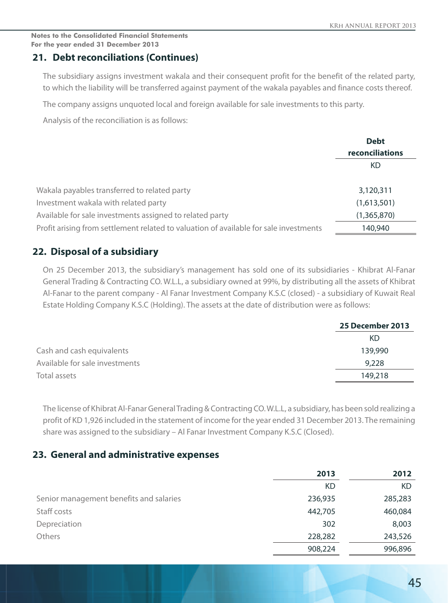#### **21. Debt reconciliations (Continues)**

The subsidiary assigns investment wakala and their consequent profit for the benefit of the related party, to which the liability will be transferred against payment of the wakala payables and finance costs thereof.

The company assigns unquoted local and foreign available for sale investments to this party.

Analysis of the reconciliation is as follows:

|                                                                                       | <b>Debt</b>     |  |
|---------------------------------------------------------------------------------------|-----------------|--|
|                                                                                       | reconciliations |  |
|                                                                                       | KD              |  |
| Wakala payables transferred to related party                                          | 3,120,311       |  |
| Investment wakala with related party                                                  | (1,613,501)     |  |
| Available for sale investments assigned to related party                              | (1,365,870)     |  |
| Profit arising from settlement related to valuation of available for sale investments | 140,940         |  |

## **22. Disposal of a subsidiary**

On 25 December 2013, the subsidiary's management has sold one of its subsidiaries - Khibrat Al-Fanar General Trading & Contracting CO. W.L.L, a subsidiary owned at 99%, by distributing all the assets of Khibrat Al-Fanar to the parent company - Al Fanar Investment Company K.S.C (closed) - a subsidiary of Kuwait Real Estate Holding Company K.S.C (Holding). The assets at the date of distribution were as follows:

|                                | 25 December 2013 |
|--------------------------------|------------------|
|                                | KD               |
| Cash and cash equivalents      | 139,990          |
| Available for sale investments | 9,228            |
| Total assets                   | 149,218          |

The license of Khibrat Al-Fanar General Trading & Contracting CO. W.L.L, a subsidiary, has been sold realizing a profit of KD 1,926 included in the statement of income for the year ended 31 December 2013. The remaining share was assigned to the subsidiary – Al Fanar Investment Company K.S.C (Closed).

#### **23. General and administrative expenses**

|                                         | 2013      | 2012      |
|-----------------------------------------|-----------|-----------|
|                                         | <b>KD</b> | <b>KD</b> |
| Senior management benefits and salaries | 236,935   | 285,283   |
| Staff costs                             | 442,705   | 460,084   |
| Depreciation                            | 302       | 8,003     |
| Others                                  | 228,282   | 243,526   |
|                                         | 908,224   | 996,896   |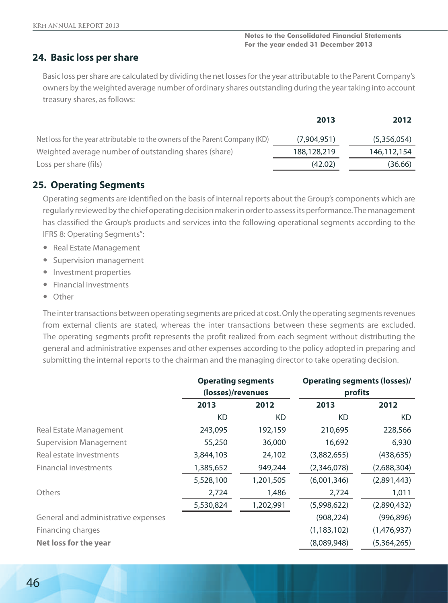## **24. Basic loss per share**

Basic loss per share are calculated by dividing the net losses for the year attributable to the Parent Company's owners by the weighted average number of ordinary shares outstanding during the year taking into account treasury shares, as follows:

|                                                                             | 2013        | 2012        |
|-----------------------------------------------------------------------------|-------------|-------------|
| Net loss for the year attributable to the owners of the Parent Company (KD) | (7,904,951) | (5,356,054) |
| Weighted average number of outstanding shares (share)                       | 188,128,219 | 146,112,154 |
| Loss per share (fils)                                                       | (42.02)     | (36.66)     |

## **25. Operating Segments**

Operating segments are identified on the basis of internal reports about the Group's components which are regularly reviewed by the chief operating decision maker in order to assess its performance. The management has classified the Group's products and services into the following operational segments according to the IFRS 8: Operating Segments":

- Real Estate Management
- Supervision management
- Investment properties
- Financial investments
- Other

The inter transactions between operating segments are priced at cost. Only the operating segments revenues from external clients are stated, whereas the inter transactions between these segments are excluded. The operating segments profit represents the profit realized from each segment without distributing the general and administrative expenses and other expenses according to the policy adopted in preparing and submitting the internal reports to the chairman and the managing director to take operating decision.

|                                     | <b>Operating segments</b><br>(losses)/revenues |           | <b>Operating segments (losses)/</b><br>profits |             |  |
|-------------------------------------|------------------------------------------------|-----------|------------------------------------------------|-------------|--|
|                                     | 2013<br>2012                                   |           | 2013                                           | 2012        |  |
|                                     | <b>KD</b>                                      | <b>KD</b> | <b>KD</b>                                      | <b>KD</b>   |  |
| <b>Real Estate Management</b>       | 243,095                                        | 192,159   | 210,695                                        | 228,566     |  |
| <b>Supervision Management</b>       | 55,250                                         | 36,000    | 16,692                                         | 6,930       |  |
| Real estate investments             | 3,844,103                                      | 24,102    | (3,882,655)                                    | (438, 635)  |  |
| <b>Financial investments</b>        | 1,385,652                                      | 949,244   | (2,346,078)                                    | (2,688,304) |  |
|                                     | 5,528,100                                      | 1,201,505 | (6,001,346)                                    | (2,891,443) |  |
| Others                              | 2,724                                          | 1,486     | 2,724                                          | 1,011       |  |
|                                     | 5,530,824                                      | 1,202,991 | (5,998,622)                                    | (2,890,432) |  |
| General and administrative expenses |                                                |           | (908, 224)                                     | (996, 896)  |  |
| Financing charges                   |                                                |           | (1, 183, 102)                                  | (1,476,937) |  |
| <b>Net loss for the year</b>        |                                                |           | (8,089,948)                                    | (5,364,265) |  |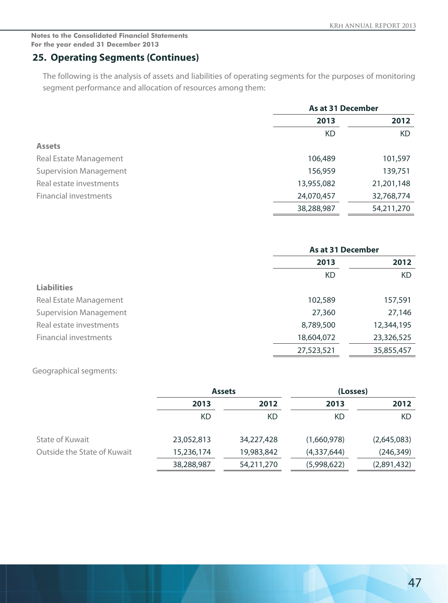## **25. Operating Segments (Continues)**

The following is the analysis of assets and liabilities of operating segments for the purposes of monitoring segment performance and allocation of resources among them:

|                               |            | As at 31 December |  |  |
|-------------------------------|------------|-------------------|--|--|
|                               | 2013       | 2012              |  |  |
|                               | <b>KD</b>  | <b>KD</b>         |  |  |
| <b>Assets</b>                 |            |                   |  |  |
| <b>Real Estate Management</b> | 106,489    | 101,597           |  |  |
| <b>Supervision Management</b> | 156,959    | 139,751           |  |  |
| Real estate investments       | 13,955,082 | 21,201,148        |  |  |
| <b>Financial investments</b>  | 24,070,457 | 32,768,774        |  |  |
|                               | 38,288,987 | 54,211,270        |  |  |

|                               |            | <b>As at 31 December</b> |  |  |
|-------------------------------|------------|--------------------------|--|--|
|                               | 2013       | 2012                     |  |  |
|                               | <b>KD</b>  | <b>KD</b>                |  |  |
| <b>Liabilities</b>            |            |                          |  |  |
| <b>Real Estate Management</b> | 102,589    | 157,591                  |  |  |
| <b>Supervision Management</b> | 27,360     | 27,146                   |  |  |
| Real estate investments       | 8,789,500  | 12,344,195               |  |  |
| <b>Financial investments</b>  | 18,604,072 | 23,326,525               |  |  |
|                               | 27,523,521 | 35,855,457               |  |  |

#### Geographical segments:

|                             |            | <b>Assets</b> | (Losses)    |             |  |
|-----------------------------|------------|---------------|-------------|-------------|--|
|                             | 2013       | 2012          |             | 2012        |  |
|                             | <b>KD</b>  | <b>KD</b>     | <b>KD</b>   | <b>KD</b>   |  |
| State of Kuwait             | 23,052,813 | 34,227,428    | (1,660,978) | (2,645,083) |  |
| Outside the State of Kuwait | 15,236,174 | 19,983,842    | (4,337,644) | (246, 349)  |  |
|                             | 38,288,987 | 54,211,270    | (5,998,622) | (2,891,432) |  |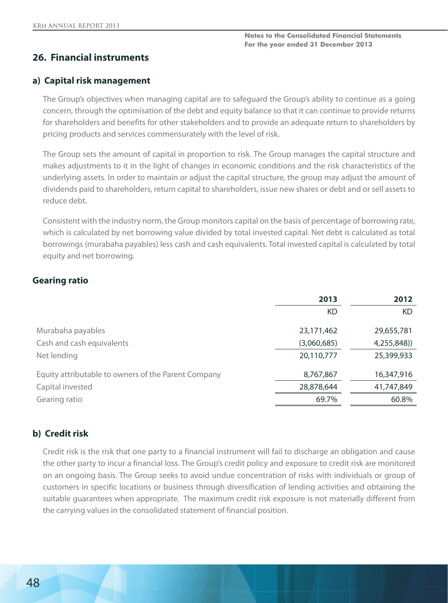## **26. Financial instruments**

#### **a) Capital risk management**

The Group's objectives when managing capital are to safeguard the Group's ability to continue as a going concern, through the optimisation of the debt and equity balance so that it can continue to provide returns for shareholders and benefits for other stakeholders and to provide an adequate return to shareholders by pricing products and services commensurately with the level of risk.

The Group sets the amount of capital in proportion to risk. The Group manages the capital structure and makes adjustments to it in the light of changes in economic conditions and the risk characteristics of the underlying assets. In order to maintain or adjust the capital structure, the group may adjust the amount of dividends paid to shareholders, return capital to shareholders, issue new shares or debt and or sell assets to reduce debt.

Consistent with the industry norm, the Group monitors capital on the basis of percentage of borrowing rate, which is calculated by net borrowing value divided by total invested capital. Net debt is calculated as total borrowings (murabaha payables) less cash and cash equivalents. Total invested capital is calculated by total equity and net borrowing.

#### **Gearing ratio**

|                                                     | 2013        | 2012        |
|-----------------------------------------------------|-------------|-------------|
|                                                     | <b>KD</b>   | <b>KD</b>   |
| Murabaha payables                                   | 23,171,462  | 29,655,781  |
| Cash and cash equivalents                           | (3,060,685) | 4,255,848)) |
| Net lending                                         | 20,110,777  | 25,399,933  |
| Equity attributable to owners of the Parent Company | 8,767,867   | 16,347,916  |
| Capital invested                                    | 28,878,644  | 41,747,849  |
| Gearing ratio                                       | 69.7%       | 60.8%       |

#### **b) Credit risk**

Credit risk is the risk that one party to a financial instrument will fail to discharge an obligation and cause the other party to incur a financial loss. The Group's credit policy and exposure to credit risk are monitored on an ongoing basis. The Group seeks to avoid undue concentration of risks with individuals or group of customers in specific locations or business through diversification of lending activities and obtaining the suitable guarantees when appropriate. The maximum credit risk exposure is not materially different from the carrying values in the consolidated statement of financial position.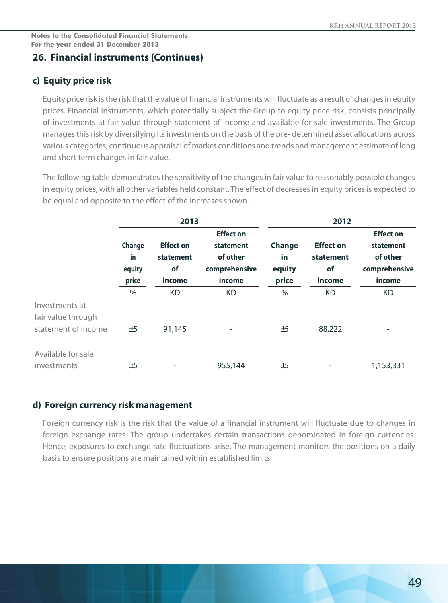#### **26. Financial instruments (Continues)**

#### **c) Equity price risk**

Equity price risk is the risk that the value of financial instruments will fluctuate as a result of changes in equity prices. Financial instruments, which potentially subject the Group to equity price risk, consists principally of investments at fair value through statement of income and available for sale investments. The Group manages this risk by diversifying its investments on the basis of the pre- determined asset allocations across various categories, continuous appraisal of market conditions and trends and management estimate of long and short term changes in fair value.

The following table demonstrates the sensitivity of the changes in fair value to reasonably possible changes in equity prices, with all other variables held constant. The effect of decreases in equity prices is expected to be equal and opposite to the effect of the increases shown.

|                                                             | 2013                            |                                                      |                                                                      | 2012                            |                                                      |                                                                      |  |
|-------------------------------------------------------------|---------------------------------|------------------------------------------------------|----------------------------------------------------------------------|---------------------------------|------------------------------------------------------|----------------------------------------------------------------------|--|
|                                                             | Change<br>in<br>equity<br>price | <b>Effect on</b><br>statement<br><b>of</b><br>income | <b>Effect on</b><br>statement<br>of other<br>comprehensive<br>income | Change<br>in<br>equity<br>price | <b>Effect on</b><br>statement<br><b>of</b><br>income | <b>Effect on</b><br>statement<br>of other<br>comprehensive<br>income |  |
|                                                             | $\%$                            | <b>KD</b>                                            | <b>KD</b>                                                            | $\%$                            | <b>KD</b>                                            | <b>KD</b>                                                            |  |
| Investments at<br>fair value through<br>statement of income | ±5                              | 91,145                                               | -                                                                    | ±5                              | 88,222                                               | -                                                                    |  |
| Available for sale<br>investments                           | ±5                              | $\overline{\phantom{a}}$                             | 955,144                                                              | ±5                              |                                                      | 1,153,331                                                            |  |

#### **d) Foreign currency risk management**

Foreign currency risk is the risk that the value of a financial instrument will fluctuate due to changes in foreign exchange rates. The group undertakes certain transactions denominated in foreign currencies. Hence, exposures to exchange rate fluctuations arise. The management monitors the positions on a daily basis to ensure positions are maintained within established limits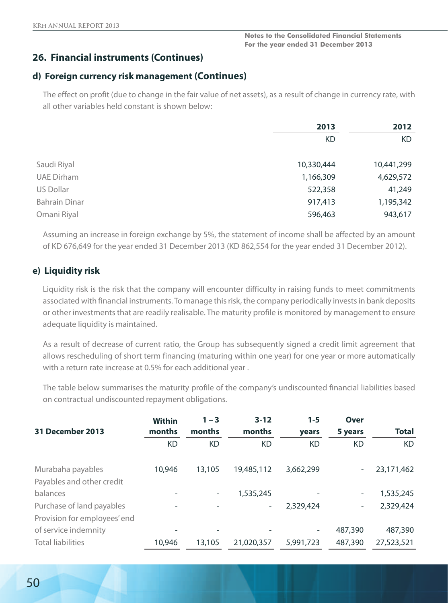## **26. Financial instruments (Continues)**

#### **d) Foreign currency risk management (Continues)**

The effect on profit (due to change in the fair value of net assets), as a result of change in currency rate, with all other variables held constant is shown below:

| 2013       |            |
|------------|------------|
| <b>KD</b>  | <b>KD</b>  |
| 10,330,444 | 10,441,299 |
| 1,166,309  | 4,629,572  |
| 522,358    | 41,249     |
| 917,413    | 1,195,342  |
| 596,463    | 943,617    |
|            |            |

Assuming an increase in foreign exchange by 5%, the statement of income shall be affected by an amount of KD 676,649 for the year ended 31 December 2013 (KD 862,554 for the year ended 31 December 2012).

#### **e) Liquidity risk**

Liquidity risk is the risk that the company will encounter difficulty in raising funds to meet commitments associated with financial instruments. To manage this risk, the company periodically invests in bank deposits or other investments that are readily realisable. The maturity profile is monitored by management to ensure adequate liquidity is maintained.

As a result of decrease of current ratio, the Group has subsequently signed a credit limit agreement that allows rescheduling of short term financing (maturing within one year) for one year or more automatically with a return rate increase at 0.5% for each additional year .

The table below summarises the maturity profile of the company's undiscounted financial liabilities based on contractual undiscounted repayment obligations.

| 31 December 2013             | <b>Within</b><br>months | $1 - 3$<br>months | $3 - 12$<br>months | $1 - 5$<br>years | <b>Over</b><br>5 years | <b>Total</b> |
|------------------------------|-------------------------|-------------------|--------------------|------------------|------------------------|--------------|
|                              | <b>KD</b>               | <b>KD</b>         | <b>KD</b>          | <b>KD</b>        | <b>KD</b>              | <b>KD</b>    |
| Murabaha payables            | 10,946                  | 13,105            | 19,485,112         | 3,662,299        |                        | 23,171,462   |
| Payables and other credit    |                         |                   |                    |                  |                        |              |
| balances                     |                         |                   | 1,535,245          |                  | -                      | 1,535,245    |
| Purchase of land payables    |                         |                   | -                  | 2,329,424        | -                      | 2,329,424    |
| Provision for employees' end |                         |                   |                    |                  |                        |              |
| of service indemnity         |                         |                   |                    | ٠                | 487,390                | 487,390      |
| <b>Total liabilities</b>     | 10,946                  | 13,105            | 21,020,357         | 5,991,723        | 487,390                | 27,523,521   |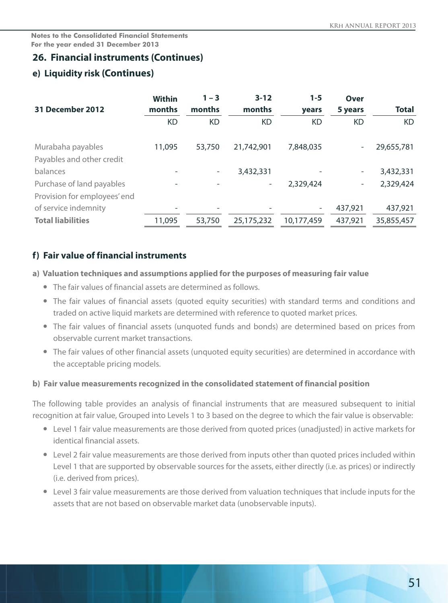## **26. Financial instruments (Continues)**

## **e) Liquidity risk (Continues)**

|                              | <b>Within</b> | $1 - 3$   | $3 - 12$                 | $1 - 5$                  | <b>Over</b> |              |
|------------------------------|---------------|-----------|--------------------------|--------------------------|-------------|--------------|
| 31 December 2012             | months        | months    | months                   | years                    | 5 years     | <b>Total</b> |
|                              | <b>KD</b>     | <b>KD</b> | <b>KD</b>                | <b>KD</b>                | <b>KD</b>   | <b>KD</b>    |
| Murabaha payables            | 11,095        | 53,750    | 21,742,901               | 7,848,035                |             | 29,655,781   |
| Payables and other credit    |               |           |                          |                          |             |              |
| balances                     |               |           | 3,432,331                |                          |             | 3,432,331    |
| Purchase of land payables    |               |           | $\overline{\phantom{a}}$ | 2,329,424                | -           | 2,329,424    |
| Provision for employees' end |               |           |                          |                          |             |              |
| of service indemnity         |               |           |                          | $\overline{\phantom{a}}$ | 437,921     | 437,921      |
| <b>Total liabilities</b>     | 11,095        | 53,750    | 25,175,232               | 10,177,459               | 437,921     | 35,855,457   |

## **f) Fair value of financial instruments**

#### **a) Valuation techniques and assumptions applied for the purposes of measuring fair value**

- $\bullet$  The fair values of financial assets are determined as follows.
- The fair values of financial assets (quoted equity securities) with standard terms and conditions and traded on active liquid markets are determined with reference to quoted market prices.
- The fair values of financial assets (unquoted funds and bonds) are determined based on prices from observable current market transactions.
- The fair values of other financial assets (unquoted equity securities) are determined in accordance with the acceptable pricing models.

#### **b) Fair value measurements recognized in the consolidated statement of financial position**

The following table provides an analysis of financial instruments that are measured subsequent to initial recognition at fair value, Grouped into Levels 1 to 3 based on the degree to which the fair value is observable:

- Level 1 fair value measurements are those derived from quoted prices (unadjusted) in active markets for identical financial assets.
- Level 2 fair value measurements are those derived from inputs other than quoted prices included within Level 1 that are supported by observable sources for the assets, either directly (i.e. as prices) or indirectly (i.e. derived from prices).
- Level 3 fair value measurements are those derived from valuation techniques that include inputs for the assets that are not based on observable market data (unobservable inputs).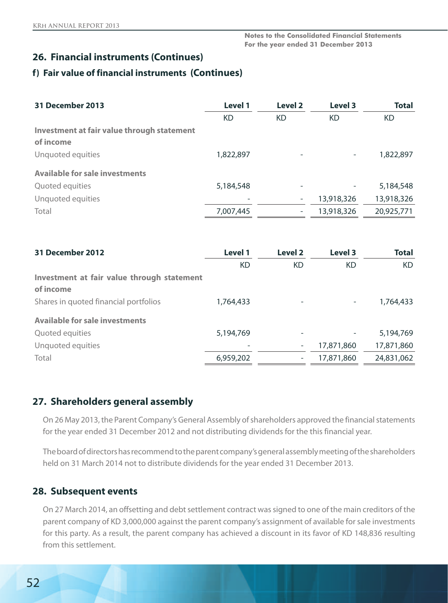## **26. Financial instruments (Continues)**

#### **f) Fair value of financial instruments (Continues)**

| 31 December 2013                                               | Level 1   | <b>Level 2</b>           | <b>Level 3</b> | <b>Total</b> |
|----------------------------------------------------------------|-----------|--------------------------|----------------|--------------|
|                                                                | <b>KD</b> | <b>KD</b>                | <b>KD</b>      | <b>KD</b>    |
| <b>Investment at fair value through statement</b><br>of income |           |                          |                |              |
| Unquoted equities                                              | 1,822,897 |                          |                | 1,822,897    |
| <b>Available for sale investments</b>                          |           |                          |                |              |
| Quoted equities                                                | 5,184,548 |                          |                | 5,184,548    |
| Unquoted equities                                              |           | $\overline{\phantom{a}}$ | 13,918,326     | 13,918,326   |
| Total                                                          | 7,007,445 |                          | 13,918,326     | 20,925,771   |
|                                                                |           |                          |                |              |
| 31 December 2012                                               | Level 1   | <b>Level 2</b>           | Level 3        | <b>Total</b> |
|                                                                | <b>KD</b> | <b>KD</b>                | <b>KD</b>      | <b>KD</b>    |
| Investment at fair value through statement<br>of income        |           |                          |                |              |
| Shares in quoted financial portfolios                          | 1,764,433 |                          |                | 1,764,433    |
| <b>Available for sale investments</b>                          |           |                          |                |              |
| Quoted equities                                                | 5,194,769 |                          |                | 5,194,769    |
| Unquoted equities                                              |           | -                        | 17,871,860     | 17,871,860   |
| Total                                                          | 6,959,202 | $\overline{\phantom{a}}$ | 17,871,860     | 24,831,062   |

## **27. Shareholders general assembly**

On 26 May 2013, the Parent Company's General Assembly of shareholders approved the financial statements for the year ended 31 December 2012 and not distributing dividends for the this financial year.

The board of directors has recommend to the parent company's general assembly meeting of the shareholders held on 31 March 2014 not to distribute dividends for the year ended 31 December 2013.

## **28. Subsequent events**

On 27 March 2014, an offsetting and debt settlement contract was signed to one of the main creditors of the parent company of KD 3,000,000 against the parent company's assignment of available for sale investments for this party. As a result, the parent company has achieved a discount in its favor of KD 148,836 resulting from this settlement.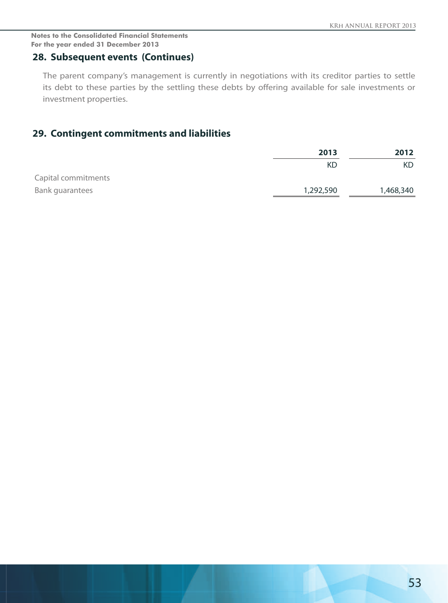#### **28. Subsequent events (Continues)**

The parent company's management is currently in negotiations with its creditor parties to settle its debt to these parties by the settling these debts by offering available for sale investments or investment properties.

## **29. Contingent commitments and liabilities**

|                     | 2013      | 2012      |
|---------------------|-----------|-----------|
|                     | KD        | KD.       |
| Capital commitments |           |           |
| Bank guarantees     | 1,292,590 | 1,468,340 |
|                     |           |           |